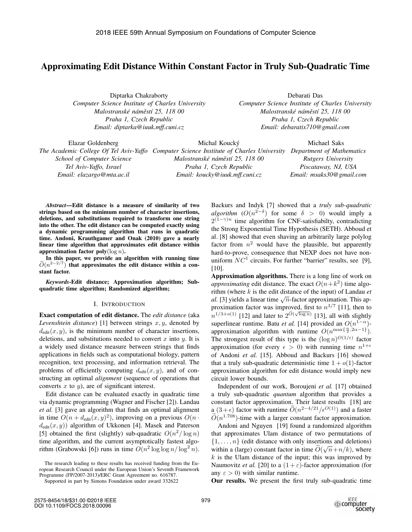# Approximating Edit Distance Within Constant Factor in Truly Sub-Quadratic Time

Diptarka Chakraborty *Computer Science Institute of Charles University Malostranské námˇestí 25, 118 00 Praha 1, Czech Republic Email: diptarka@iuuk.mff.cuni.cz*

Debarati Das *Computer Science Institute of Charles University Malostranské námˇestí 25, 118 00 Praha 1, Czech Republic Email: debaratix710@gmail.com*

Elazar Goldenberg *The Academic College Of Tel Aviv-Yaffo Computer Science Institute of Charles University Department of Mathematics School of Computer Science Tel Aviv-Yaffo, Israel Email: elazargo@mta.ac.il* Michal Koucký *Malostranské námˇestí 25, 118 00 Praha 1, Czech Republic Email: koucky@iuuk.mff.cuni.cz* Michael Saks *Rutgers University Piscataway, NJ, USA Email: msaks30@gmail.com*

*Abstract*—Edit distance is a measure of similarity of two strings based on the minimum number of character insertions, deletions, and substitutions required to transform one string into the other. The edit distance can be computed exactly using a dynamic programming algorithm that runs in quadratic time. Andoni, Krauthgamer and Onak (2010) gave a nearly linear time algorithm that approximates edit distance within approximation factor  $\text{poly}(\log n)$ . a tir<br>Iii<br> $\widetilde{O}$ 

In this paper, we provide an algorithm with running time  $\widetilde{O}(n^{2-2/7})$  that approximates the edit distance within a constant factor.

*Keywords*-Edit distance; Approximation algorithm; Subquadratic time algorithm; Randomized algorithm;

# I. INTRODUCTION

Exact computation of edit distance. The *edit distance* (aka *Levenshtein distance*) [1] between strings  $x, y$ , denoted by  $d_{\text{edit}}(x, y)$ , is the minimum number of character insertions, deletions, and substitutions needed to convert  $x$  into  $y$ . It is a widely used distance measure between strings that finds applications in fields such as computational biology, pattern recognition, text processing, and information retrieval. The problems of efficiently computing  $d_{\text{edit}}(x, y)$ , and of constructing an optimal *alignment* (sequence of operations that converts  $x$  to  $y$ ), are of significant interest.

Edit distance can be evaluated exactly in quadratic time via dynamic programming (Wagner and Fischer [2]). Landau *et al.* [3] gave an algorithm that finds an optimal alignment in time  $O(n + d_{\text{edit}}(x, y)^2)$ , improving on a previous  $O(n \cdot$  $d_{\text{edit}}(x, y)$  algorithm of Ukkonen [4]. Masek and Paterson [5] obtained the first (slightly) sub-quadratic  $O(n^2/\log n)$ time algorithm, and the current asymptotically fastest algorithm (Grabowski [6]) runs in time  $O(n^2 \log \log n / \log^2 n)$ . Backurs and Indyk [7] showed that a *truly sub-quadratic algorithm*  $(O(n^{2-\delta}))$  for some  $\delta > 0$ ) would imply a  $2^{(1-\gamma)n}$  time algorithm for CNF-satisfiabilty, contradicting the Strong Exponential Time Hypothesis (SETH). Abboud et al. [8] showed that even shaving an arbitrarily large polylog factor from  $n^2$  would have the plausible, but apparently hard-to-prove, consequence that NEXP does not have nonuniform  $NC^1$  circuits. For further "barrier" results, see [9], [10].

Approximation algorithms. There is a long line of work on *approximating* edit distance. The exact  $O(n+k^2)$  time algorithm (where k is the edit distance of the input) of Landau *et al.* [3] yields a linear time  $\sqrt{n}$ -factor approximation. This approximation factor was improved, first to  $n^{3/7}$  [11], then to rithm (where k is the edit distar<br>
al. [3] yields a linear time  $\sqrt{n}$ -fi<br>
proximation factor was improv<br>  $n^{1/3+o(1)}$  [12] and later to  $2^{\tilde{O}(\sqrt{n})}$ <br>
superlinear runtime. Batu et al.  $\sqrt{\log n}$  [13], all with slightly superlinear runtime. Batu *et al.* [14] provided an  $O(n^{1-\alpha})$ approximation algorithm with runtime  $O(n^{\max\{\frac{\alpha}{2},2\alpha-1\}})$ .<br>The strongest result of this type is the  $(\log n)^{O(1/\epsilon)}$  factor The strongest result of this type is the  $(\log n)^{O(1/\epsilon)}$  factor approximation (for every  $\epsilon > 0$ ) with running time  $n^{1+\epsilon}$ of Andoni *et al.* [15]. Abboud and Backurs [16] showed that a truly sub-quadratic deterministic time  $1 + o(1)$ -factor approximation algorithm for edit distance would imply new circuit lower bounds.

Independent of our work, Boroujeni *et al.* [17] obtained a truly sub-quadratic *quantum* algorithm that provides a constant factor approximation. Their latest results [18] are a  $(3+\epsilon)$  factor with runtime  $\widetilde{O}(n^{2-4/21}/\epsilon^{O(1)})$  and a faster  $\widetilde{O}(n^{1.708})$  time with a larger constant factor approximation  $\widetilde{O}(n^{1.708})$ -time with a larger constant factor approximation.<br>Andoni and Nguyen [19] found a randomized algorithm

Andoni and Nguyen [19] found a randomized algorithm that approximates Ulam distance of two permutations of  $\{1,\ldots,n\}$  (edit distance with only insertions and deletions) within a (large) constant factor in time  $\widetilde{O}(\sqrt{n}+n/k)$ , where<br>k is the Hlam distance of the input: this was improved by  $k$  is the Ulam distance of the input; this was improved by Naumovitz *et al.* [20] to a  $(1 + \varepsilon)$ -factor approximation (for any  $\varepsilon > 0$ ) with similar runtime.

Our results. We present the first truly sub-quadratic time

The research leading to these results has received funding from the European Research Council under the European Union's Seventh Framework Programme (FP/2007-2013)/ERC Grant Agreement no. 616787.

Supported in part by Simons Foundation under award 332622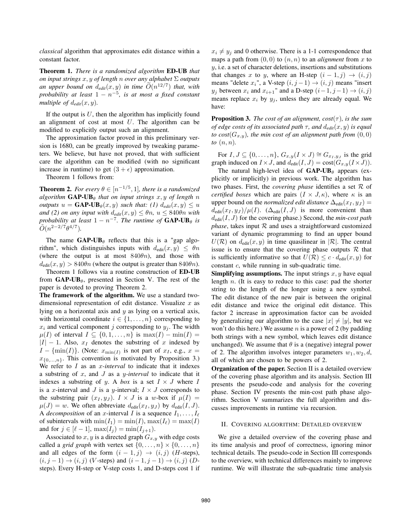*classical* algorithm that approximates edit distance within a constant factor.

Theorem 1. *There is a randomized algorithm* ED-UB *that on input strings* x, y *of length* <sup>n</sup> *over any alphabet* Σ *outputs an upper bound on*  $d_{edit}(x, y)$  *in time*  $O(n^{12/7})$  *that, with probability at least*  $1 - n^{-5}$  *is at most a fixed constant probability at least*  $1 - n^{-5}$ *, is at most a fixed constant multiple of*  $d_{edit}(x, y)$ *.* 

If the output is  $U$ , then the algorithm has implicitly found an alignment of cost at most  $U$ . The algorithm can be modified to explicitly output such an alignment.

The approximation factor proved in this preliminary version is 1680, can be greatly improved by tweaking parameters. We believe, but have not proved, that with sufficient care the algorithm can be modified (with no significant increase in runtime) to get  $(3 + \epsilon)$  approximation.

Theorem 1 follows from:

**Theorem 2.** *For every*  $\theta \in [n^{-1/5}, 1]$ *, there is a randomized algorithm*  $GAP-UB_{\theta}$  *that on input strings* x, y of length n *outputs*  $u = \mathbf{GAP\text{-}UB}_{\theta}(x, y)$  *such that:* (1)  $d_{edit}(x, y) \leq u$ *and* (2) on any input with  $d_{edit}(x, y) \leq \theta n$ ,  $u \leq 840\theta n$  with *probability at least*  $1 - n^{-7}$ *. The runtime of*  $GAP-UB_{\theta}$  *is*  $\tilde{O}(n^{2-2/7}\theta^{4/7})$ .

The name  $GAP-UB_{\theta}$  reflects that this is a "gap algorithm", which distinguishes inputs with  $d_{\text{edit}}(x, y) \leq \theta n$ (where the output is at most  $840\theta n$ ), and those with  $d_{\text{edit}}(x, y) > 840\theta n$  (where the output is greater than  $840\theta n$ ).

Theorem 1 follows via a routine construction of ED-UB from  $GAP-UB_{\theta}$ , presented in Section V. The rest of the paper is devoted to proving Theorem 2.

The framework of the algorithm. We use a standard twodimensional representation of edit distance. Visualize  $x$  as lying on a horizontal axis and  $y$  as lying on a vertical axis, with horizontal coordinate  $i \in \{1, \ldots, n\}$  corresponding to  $x_i$  and vertical component j corresponding to  $y_j$ . The width  $\mu(I)$  of interval  $I \subseteq \{0, 1, \ldots, n\}$  is  $\max(I) - \min(I) =$  $|I| - 1$ . Also,  $x_I$  denotes the substring of x indexed by  $I - \{\min(I)\}\$ . (Note:  $x_{\min(I)}$  is not part of  $x_I$ , e.g.,  $x =$  $x_{\{0,\ldots,n\}}$ . This convention is motivated by Proposition 3.) We refer to *I* as an *x*-interval to indicate that it indexes a substring of x, and J as a y*-interval* to indicate that it indexes a substring of y. A *box* is a set  $I \times J$  where I is a x-interval and J is a y-interval;  $I \times J$  corresponds to the substring pair  $(x_I, y_J)$ .  $I \times J$  is a w-box if  $\mu(I)$  =  $\mu(J) = w$ . We often abbreviate  $d_{\text{edit}}(x_I, y_J)$  by  $d_{\text{edit}}(I, J)$ . A *decomposition* of an *x*-interval *I* is a sequence  $I_1, \ldots, I_\ell$ of subintervals with  $min(I_1) = min(I)$ ,  $max(I_\ell) = max(I)$ and for  $j \in [\ell - 1]$ ,  $\max(I_j) = \min(I_{j+1})$ .

Associated to  $x, y$  is a directed graph  $G_{x,y}$  with edge costs called a *grid graph* with vertex set  $\{0,\ldots,n\}\times\{0,\ldots,n\}$ and all edges of the form  $(i - 1, j) \rightarrow (i, j)$  (*H*-steps),  $(i, j - 1) \rightarrow (i, j)$  (V-steps) and  $(i - 1, j - 1) \rightarrow (i, j)$  (Dsteps). Every H-step or V-step costs 1, and D-steps cost 1 if  $x_i \neq y_j$  and 0 otherwise. There is a 1-1 correspondence that maps a path from  $(0, 0)$  to  $(n, n)$  to an *alignment* from x to  $y$ , i.e. a set of character deletions, insertions and substitutions that changes x to y, where an H-step  $(i - 1, j) \rightarrow (i, j)$ means "delete  $x_i$ ", a V-step  $(i, j-1) \rightarrow (i, j)$  means "insert  $y_j$  between  $x_i$  and  $x_{i+1}$ " and a D-step  $(i-1, j-1) \rightarrow (i, j)$ means replace  $x_i$  by  $y_j$ , unless they are already equal. We have:

**Proposition 3.** *The cost of an alignment, cost* $(\tau)$ *, is the sum of edge costs of its associated path*  $\tau$ *, and*  $d_{edit}(x, y)$  *is equal to cost*( $G_{x,y}$ )*, the min cost of an alignment path from*  $(0,0)$ *to* (n, n)*.*

For  $I, J \subseteq \{0, \ldots, n\}, G_{x,y}(I \times J) \cong G_{x_I, y_J}$  is the grid graph induced on  $I \times J$ , and  $d_{edit}(I, J) = cost(G_{x,y}(I \times J)).$ 

The natural high-level idea of  $GAP-UB_{\theta}$  appears (explicitly or implicitly) in previous work. The algorithm has two phases. First, the *covering phase* identifies a set R of *certified boxes* which are pairs  $(I \times J, \kappa)$ , where  $\kappa$  is an upper bound on the *normalized edit distance*  $\Delta_{\text{edit}}(x_I, y_J)$  =  $d_{\text{edit}}(x_I, y_J) / \mu(I)$ . ( $\Delta_{\text{edit}}(I, J)$  is more convenient than  $d_{\text{edit}}(I, J)$  for the covering phase.) Second, the  $min\text{-}cost$  path *phase*, takes input  $R$  and uses a straightforward customized variant of dynamic programming to find an upper bound  $U(\mathcal{R})$  on  $d_{\text{edit}}(x, y)$  in time quasilinear in  $|\mathcal{R}|$ . The central issue is to ensure that the covering phase outputs  $\mathcal R$  that is sufficiently informative so that  $U(\mathcal{R}) \leq c \cdot d_{\text{edit}}(x, y)$  for constant c, while running in sub-quadratic time.

**Simplifying assumptions.** The input strings  $x, y$  have equal length  $n$ . (It is easy to reduce to this case: pad the shorter string to the length of the longer using a new symbol. The edit distance of the new pair is between the original edit distance and twice the original edit distance. This factor 2 increase in approximation factor can be avoided by generalizing our algorithm to the case  $|x| \neq |y|$ , but we won't do this here.) We assume  $n$  is a power of 2 (by padding both strings with a new symbol, which leaves edit distance unchanged). We assume that  $\theta$  is a (negative) integral power of 2. The algorithm involves integer parameters  $w_1, w_2, d$ , all of which are chosen to be powers of 2.

Organization of the paper. Section II is a detailed overview of the covering phase algorithm and its analysis. Section III presents the pseudo-code and analysis for the covering phase. Section IV presents the min-cost path phase algorithm. Section V summarizes the full algorithm and discusses improvements in runtime via recursion.

# II. COVERING ALGORITHM: DETAILED OVERVIEW

We give a detailed overview of the covering phase and its time analysis and proof of correctness, ignoring minor technical details. The pseudo-code in Section III corresponds to the overview, with technical differences mainly to improve runtime. We will illustrate the sub-quadratic time analysis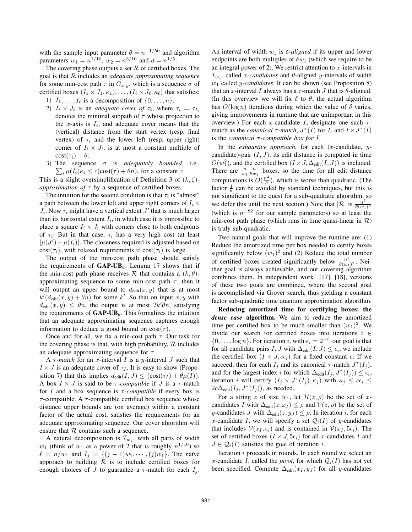with the sample input parameter  $\theta = n^{-1/50}$  and algorithm parameters  $w_1 = n^{1/10}$ ,  $w_2 = n^{3/10}$  and  $d = n^{1/5}$ .

The covering phase outputs a set  $R$  of certified boxes. The goal is that R includes an *adequate approximating sequence* for some min-cost path  $\tau$  in  $G_{x,y}$ , which is a sequence  $\sigma$  of certified boxes  $(I_1 \times J_1, \kappa_1), \ldots, (I_\ell \times J_\ell, \kappa_\ell)$  that satisfies:

1)  $I_1, \ldots, I_\ell$  is a decomposition of  $\{0, \ldots, n\}.$ 

- 2)  $I_i \times J_i$  is an *adequate cover of*  $\tau_i$ , where  $\tau_i = \tau_{I_i}$ denotes the minimal subpath of  $\tau$  whose projection to the x-axis is  $I_i$ , and adequate cover means that the (vertical) distance from the start vertex (resp. final vertex) of  $\tau_i$  and the lower left (resp. upper right) corner of  $I_i \times J_i$ , is at most a constant multiple of  $\cot(\tau_i) + \theta$ .
- 3) The sequence  $\sigma$  is *adequately bounded*, i.e.,<br>  $\sum_{i} \mu(I_i)\kappa_i \leq c(\text{cost}(\tau) + \theta n)$ , for a constant c.  $\sum_i \mu(I_i)\kappa_i \leq c(\text{cost}(\tau) + \theta n)$ , for a constant c.

This is a slight oversimplification of Definition 3 of  $(k, \zeta)$ *approximation of*  $\tau$  by a sequence of certified boxes.

The intuition for the second condition is that  $\tau_i$  is "almost" a path between the lower left and upper right corners of  $I_i \times$  $J_i$ . Now  $\tau_i$  might have a vertical extent  $J'$  that is much larger than its horizontal extent  $I_i$ , in which case it is impossible to place a square  $I_i \times J_i$  with corners close to both endpoints of  $\tau_i$ . But in that case,  $\tau_i$  has a very high cost (at least  $|\mu(J') - \mu(I_i)|$ . The closeness required is adjusted based on  $cost(\tau_i)$  with relaxed requirements if  $cost(\tau_i)$  is large  $cost(\tau_i)$ , with relaxed requirements if  $cost(\tau_i)$  is large.

The output of the min-cost path phase should satisfy the requirements of  $GAP-UB_{\theta}$ . Lemma 17 shows that if the min-cost path phase receives  $\mathcal R$  that contains a  $(k, \theta)$ approximating sequence to some min-cost path  $\tau$ , then it will output an upper bound to  $d_{\text{edit}}(x, y)$  that is at most  $k'(d_{\text{edit}}(x, y) + \theta n)$  for some k'. So that on input  $x, y$  with  $d_{x}(x, y) < \theta n$  the output is at most  $2k'\theta n$  satisfying  $d_{\text{edit}}(x, y) \leq \theta n$ , the output is at most  $2k'\theta n$ , satisfying<br>the requirements of **CAP-UR**<sub>e</sub>. This formalizes the intuition the requirements of  $GAP-UB_{\theta}$ . This formalizes the intuition that an adequate approximating sequence captures enough information to deduce a good bound on  $cost(\tau)$ .

Once and for all, we fix a min-cost path  $\tau$ . Our task for the covering phase is that, with high probability,  $R$  includes an adequate approximating sequence for  $\tau$ .

A  $\tau$ -match for an x-interval I is a y-interval J such that  $I \times J$  is an adequate cover of  $\tau_I$ . It is easy to show (Proposition 7) that this implies  $d_{\text{edit}}(I, J) \leq (\text{cost}(\tau_I) + \theta \mu(I)).$ A box  $I \times J$  is said to be  $\tau$ -*compatible* if  $J$  is a  $\tau$ -match for I and a box sequence is  $\tau$ -compatible if every box is  $\tau$ -compatible. A  $\tau$ -compatible certified box sequence whose distance upper bounds are (on average) within a constant factor of the actual cost, satisfies the requirements for an adequate approximating sequence. Our cover algorithm will ensure that  $R$  contains such a sequence.

A natural decomposition is  $\mathcal{I}_{w_1}$ , with all parts of width  $w_1$  (think of  $w_1$  as a power of 2 that is roughly  $n^{1/10}$ ) so  $\ell = \pi/w_1$  and  $L = \ell(\ell - 1)w_1$  (a) The païve  $\ell = n/w_1$  and  $I_j = \{(j-1)w_1, \dots, (j)w_1\}$ . The naïve approach to building  $R$  is to include certified boxes for enough choices of J to guarantee a  $\tau$ -match for each  $I_i$ . An interval of width  $w_1$  is  $\delta$ -aligned if its upper and lower endpoints are both multiples of  $\delta w_1$  (which we require to be an integral power of 2). We restrict attention to  $x$ -intervals in  $\mathcal{I}_{w_1}$ , called x-candidates and  $\theta$ -aligned y-intervals of width  $w_1$  called *y*-candidates. It can be shown (see Proposition 8) that an x-interval I always has a  $\tau$ -match J that is  $\theta$ -aligned. (In this overview we will fix  $\delta$  to  $\theta$ ; the actual algorithm has  $O(\log n)$  iterations during which the value of  $\delta$  varies, giving improvements in runtime that are unimportant in this overview.) For each x-candidate I, designate one such  $\tau$ match as the *canonical*  $\tau$ *-match*,  $J^{\tau}(I)$  for I, and  $I \times J^{\tau}(I)$ is the *canonical* τ *-compatible box for* I.

In the *exhaustive approach*, for each (x-candidate, ycandidate)-pair  $(I, J)$ , its edit distance is computed in time  $O(w_1^2)$ , and the certified box  $(I \times J, \Delta_{edit}(I, J))$  is included. There are  $\frac{n}{w_1} \frac{n}{\theta w_1}$  boxes, so the time for all edit distance computations is  $O(\frac{n^2}{\theta})$ , which is worse than quadratic. (The factor  $\frac{1}{\theta}$  can be avoided by standard techniques, but this is factor  $\frac{1}{\theta}$  can be avoided by standard techniques, but this is not significant to the quest for a sub-quadratic algorithm, so we defer this until the next section.) Note that  $|\mathcal{R}|$  is  $\frac{n^2}{\theta(w_1)^2}$ (which is  $n^{1.82}$  for our sample parameters) so at least the min-cost path phase (which runs in time quasi-linear in  $\mathcal{R}$ ) is truly sub-quadratic.

Two natural goals that will improve the runtime are: (1) Reduce the amortized time per box needed to certify boxes significantly below  $(w_1)^2$  and (2) Reduce the total number of certified boxes created significantly below  $\frac{n^2}{\theta(w_1)^2}$ . Nei-<br>ther goal is always achievable, and our covering algorithm ther goal is always achievable, and our covering algorithm combines them. In independent work [17], [18], versions of these two goals are combined, where the second goal is accomplished via Grover search, thus yielding a constant factor sub-quadratic time quantum approximation algorithm.

Reducing amortized time for certifying boxes: the *dense case* algorithm. We aim to reduce the amortized time per certified box to be much smaller than  $(w_1)^2$ . We divide our search for certified boxes into iterations  $i \in$  $\{0,\ldots,\log n\}$ . For iteration *i*, with  $\epsilon_i = 2^{-i}$ , our goal is that for all candidate pairs *I I* with  $\Delta_{n}(I, I) \leq \epsilon$ , we include for all candidate pairs I, J with  $\Delta_{\text{edit}}(I, J) \leq \epsilon_i$ , we include the certified box  $(I \times J, c\epsilon_i)$  for a fixed constant c. If we succeed, then for each  $I_j$  and its canonical  $\tau$ -match  $J^{\tau}(I_j)$ , and for the largest index i for which  $\Delta_{\text{edit}}(I_j, J^{\tau}(I_j)) \leq \epsilon_i$ , iteration *i* will certify  $(I_j \times J^{\tau}(I_j), \kappa_j)$  with  $\kappa_j \leq c\epsilon_i \leq$  $2c\Delta_{\text{edit}}(I_j, J^{\tau}(I_j))$ , as needed.

For a string z of size  $w_1$ , let  $\mathcal{H}(z, \rho)$  be the set of xcandidates I with  $\Delta_{\text{edit}}(z, x_I) \leq \rho$  and  $V(z, \rho)$  be the set of y-candidates J with  $\Delta_{\text{edit}}(z, y_J) \leq \rho$ . In iteration i, for each x-candidate I, we will specify a set  $Q_i(I)$  of y-candidates that includes  $V(x_I, \epsilon_i)$  and is contained in  $V(x_I, 5\epsilon_i)$ . The set of certified boxes  $(I \times J, 5\epsilon_i)$  for all x-candidates I and  $J \in \mathcal{Q}_i(I)$  satisfies the goal of iteration i.

Iteration  $i$  proceeds in rounds. In each round we select an x-candidate I, called the *pivot*, for which  $Q_i(I)$  has not yet been specified. Compute  $\Delta_{\text{edit}}(x_I, y_J)$  for all y-candidates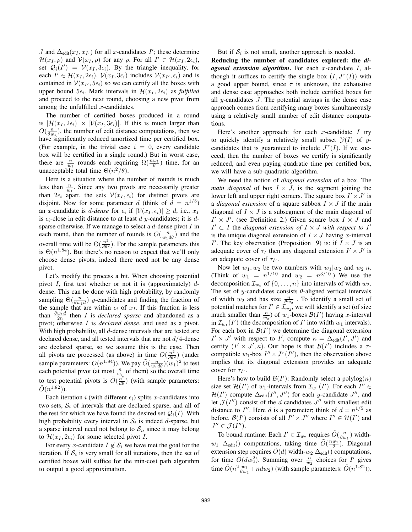J and  $\Delta_{\text{edit}}(x_I, x_{I}$ <br> $\mathcal{H}(x_I, a)$  and  $\mathcal{V}(x_I, a)$ ) for all x-candidates  $I'$ ; these determine  $\mathcal{H}(x_I,\rho)$  and  $\mathcal{V}(x_I,\rho)$  for any  $\rho$ . For all  $I' \in \mathcal{H}(x_I, 2\epsilon_i)$ , set  $Q_i(I') = V(x_I, 3\epsilon_i)$ . By the triangle inequality, for each  $I' \in \mathcal{H}(x_I, 2\epsilon_i)$ ,  $\mathcal{V}(x_I, 3\epsilon_i)$  includes  $\mathcal{V}(x_I, \epsilon_i)$  and is contained in  $\mathcal{V}(x_I, 5\epsilon_i)$  so we can certify all the boxes with contained in  $V(x_1, 5\epsilon_i)$  so we can certify all the boxes with<br>upper bound  $5\epsilon_i$ . Mark intervals in  $\mathcal{H}(x_1, 2\epsilon_i)$  as fulfilled upper bound  $5\epsilon_i$ . Mark intervals in  $\mathcal{H}(x_I, 2\epsilon_i)$  as *fulfilled* and proceed to the next round, choosing a new pivot from among the unfulfilled  $x$ -candidates.

The number of certified boxes produced in a round is  $|\mathcal{H}(x_I, 2\epsilon_i)| \times |\mathcal{V}(x_I, 3\epsilon_i)|$ . If this is much larger than  $O(\frac{n}{\theta w_1})$ , the number of edit distance computations, then we have significantly reduced amortized time per certified box have significantly reduced amortized time per certified box. (For example, in the trivial case  $i = 0$ , every candidate box will be certified in a single round.) But in worst case, there are  $\frac{n}{w_1}$  rounds each requiring  $\Omega(\frac{nw_1}{\theta})$  time, for an unacceptable total time  $\Theta(n^2/\theta)$ .

Here is a situation where the number of rounds is much less than  $\frac{n}{w_1}$ . Since any two pivots are necessarily greater than  $2\epsilon_i$  apart, the sets  $V(x_I, \epsilon_i)$  for distinct pivots are disjoint. Now for some parameter d (think of  $d = n^{1/5}$ ) an x-candidate is *d-dense* for  $\epsilon_i$  if  $|\mathcal{V}(x_I, \epsilon_i)| \geq d$ , i.e.,  $x_I$ is  $\epsilon_i$ -close in edit distance to at least d y-candidates; it is dsparse otherwise. If we manage to select a  $d$ -dense pivot  $I$  in each round, then the number of rounds is  $O(\frac{n}{w_1 d\theta})$  and the overall time will be  $\Theta(\frac{n^2}{d\theta^2})$ . For the sample parameters this  $\Theta(n^{1.84})$ . But there's no reason to expect that we'll only is  $\Theta(n^{1.84})$ . But there's no reason to expect that we'll only<br>choose dense nivots: indeed there need not be any dense choose dense pivots; indeed there need not be any dense pivot.

Let's modify the process a bit. When choosing potential pivot I, first test whether or not it is (approximately)  $d$ dense. This can be done with high probability, by randomly sampling  $\tilde{\Theta}(\frac{n}{\theta w_1 d})$  y-candidates and finding the fraction of the sample that are within  $\epsilon$ . of  $x<sub>x</sub>$ . If this fraction is less the sample that are within  $\epsilon_i$  of  $x_I$ . If this fraction is less than  $\frac{\partial w_1 d}{\partial n}$  then *I* is *declared sparse* and abandoned as a nivot pivot; otherwise I is *declared dense*, and used as a pivot. With high probability, all d-dense intervals that are tested are declared dense, and all tested intervals that are not  $d/4$ -dense are declared sparse, so we assume this is the case. Then all pivots are processed (as above) in time  $O(\frac{n^2}{d\theta^2})$  (under  $\left(\frac{n^2}{d\theta^2}\right)$  (under sample parameters:  $O(n^{1.84})$ ). We pay  $\tilde{O}(\frac{n}{w_1 d\theta})(w_1)^2$  to test each potential pivot (at most  $\frac{n}{w_1}$  of them) so the overall time to test potential pivots is  $\tilde{O}(\frac{n^2}{d\theta})$  (with sample parameters:<br> $\tilde{O}(n^{1.82})$ )  $\tilde{O}(n^{1.82})$ ).

Each iteration i (with different  $\epsilon_i$ ) splits x-candidates into two sets,  $S_i$  of intervals that are declared sparse, and all of the rest for which we have found the desired set  $Q_i(I)$ . With high probability every interval in  $S_i$  is indeed d-sparse, but a sparse interval need not belong to  $S_i$ , since it may belong to  $\mathcal{H}(x_I, 2\epsilon_i)$  for some selected pivot I.

For every x-candidate  $I \notin S_i$  we have met the goal for the iteration. If  $S_i$  is very small for all iterations, then the set of certified boxes will suffice for the min-cost path algorithm to output a good approximation.

But if  $S_i$  is not small, another approach is needed.

Reducing the number of candidates explored: the *diagonal extension algorithm*. For each x-candidate I, although it suffices to certify the single box  $(I, J^{\tau}(I))$  with a good upper bound, since  $\tau$  is unknown, the exhaustive and dense case approaches both include certified boxes for all  $y$ -candidates  $J$ . The potential savings in the dense case approach comes from certifying many boxes simultaneously using a relatively small number of edit distance computations.

Here's another approach: for each  $x$ -candidate  $I$  try to quickly identify a relatively small subset  $\mathcal{Y}(I)$  of ycandidates that is guaranteed to include  $J^{\tau}(I)$ . If we succeed, then the number of boxes we certify is significantly reduced, and even paying quadratic time per certified box, we will have a sub-quadratic algorithm.

We need the notion of *diagonal extension* of a box. The *main diagonal* of box  $I \times J$ , is the segment joining the lower left and upper right corners. The square box  $I' \times J'$  is a *diagonal extension* of a square subbox  $I \times J$  if the main diagonal of  $I \times J$  is a subsegment of the main diagonal of  $I' \times J'$ . (see Definition 2.) Given square box  $I \times J$  and  $I' \subset I$  the *diagonal extension of*  $I \times J$  *with respect to*  $I'$ is the unique diagonal extension of  $I \times J$  having x-interval I'. The key observation (Proposition 9) is: if  $\overline{I} \times J$  is an adequate cover of  $\tau_I$  then any diagonal extension  $I' \times J'$  is an adequate cover of  $\tau_{I}$ .

Now let  $w_1, w_2$  be two numbers with  $w_1|w_2$  and  $w_2|n$ . (Think of  $w_1 = n^{1/10}$  and  $w_2 = n^{3/10}$ .) We use the decomposition  $\tau$  of  $f_0$  and intervals of width  $w_0$ . decomposition  $\mathcal{I}_{w_2}$  of  $\{0,\ldots,n\}$  into intervals of width  $w_2$ . The set of y-candidates consists  $\theta$ -aligned vertical intervals of width  $w_2$  and has size  $\frac{n}{\theta w_2}$ . To identify a small set of size potential matches for  $I' \in \mathcal{I}_{w_2}^{\omega_2}$ , we will identify a set (of size much smaller than  $\frac{n}{w_2}$  of  $w_1$ -boxes  $\mathcal{B}(I')$  having x-interval<br>in  $\mathcal{T}$  ( $I'$ ) (the decomposition of  $I'$  into width  $w_1$  intervals) in  $\mathcal{I}_{w_1}(I')$  (the decomposition of I' into width  $w_1$  intervals).<br>For each box in  $\mathcal{B}(I')$  we determine the diagonal extension For each box in  $\mathcal{B}(I')$  we determine the diagonal extension  $I' \times I'$  with respect to  $I'$  compute  $\kappa = \Lambda_{\text{av}}(I' \ I')$  and  $I' \times J'$  with respect to I', compute  $\kappa = \Delta_{\text{edit}}(I', J')$  and<br>certify  $(I' \times I' \kappa)$ . Our hope is that  $\mathcal{B}(I')$  includes a  $\tau$ certify  $(I' \times J', \kappa)$ . Our hope is that  $\mathcal{B}(I')$  includes a  $\tau$ -<br>compatible  $w \text{-}$  box  $I'' \times I^{\tau}(I'')$  then the observation above compatible  $w_1$ -box  $I'' \times J^{\tau}(I'')$ , then the observation above implies that its diagonal extension provides an adequate cover for  $\tau_{I'}$ .

Here's how to build  $\mathcal{B}(I')$ : Randomly select a polylog(*n*)  $e$  set  $\mathcal{H}(I')$  of  $w$ -intervals from  $\mathcal{T}$  ( $I'$ ). For each  $I'' \in$ size set  $\mathcal{H}(I')$  of  $w_1$ -intervals from  $\mathcal{I}_{w_1}(I')$ . For each  $I'' \in \mathcal{H}(I')$  compute  $\Delta_{w_1}(I'' - I'')$  for each *u*-candidate  $I''$  and  $\mathcal{H}(I')$  compute  $\Delta_{edit}(I'', J'')$  for each y-candidate J'', and let  $\mathcal{I}(I'')$  consist of the d candidates  $I''$  with smallest edit let  $\mathcal{J}(I'')$  consist of the d candidates  $J''$  with smallest edit distance to I''. Here d is a parameter; think of  $d = n^{1/5}$  as before.  $\mathcal{B}(I')$  consists of all  $I'' \times J''$  where  $I'' \in \mathcal{H}(I')$  and  $I'' \in \mathcal{I}(I'')$  $J'' \in \mathcal{J}(I'').$ 

To bound runtime: Each  $I' \in \mathcal{I}_{w_2}$  requires  $\tilde{O}(\frac{n}{\omega_1})$  width $w_1$   $\Delta_{\text{edit}}()$  computations, taking time  $\tilde{O}(\frac{nw_1}{\theta})$ . Diagonal extension step requires  $\ddot{O}(d)$  width- $w_2 \Delta_{\text{edit}}($ ) computations, for time  $\tilde{O}(dw_2^2)$ . Summing over  $\frac{n}{w_2}$  choices for I' gives time  $\tilde{O}(n^2 \frac{w_1}{\theta w_2} + ndw_2)$  (with sample parameters:  $\tilde{O}(n^{1.82})$ ).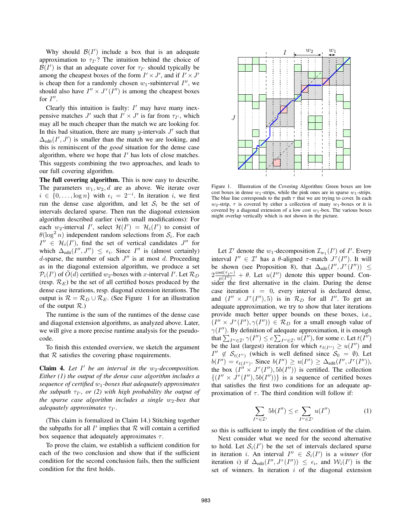Why should  $\mathcal{B}(I')$  include a box that is an adequate<br>proximation to  $\tau v^2$ . The intuition behind the choice of approximation to  $\tau_{I'}$ ? The intuition behind the choice of  $\mathcal{B}(I')$  is that an adequate cover for  $\tau_{I'}$  should typically be<br>among the cheapest boxes of the form  $I' \times I'$  and if  $I' \times I'$ among the cheapest boxes of the form  $I' \times J'$ , and if  $I' \times J'$ is cheap then for a randomly chosen  $w_1$ -subinterval  $I''$ , we should also have  $I'' \times J^{\tau}(I'')$  is among the cheapest boxes for  $I''$ .

Clearly this intuition is faulty:  $I'$  may have many inexpensive matches  $J'$  such that  $I' \times J'$  is far from  $\tau_{I'}$ , which may all be much cheaper than the match we are looking for. In this bad situation, there are many y-intervals  $J'$  such that  $\Delta_{\text{edit}}(I', J')$  is smaller than the match we are looking, and<br>this is reminiscent of the good situation for the dense case this is reminiscent of the *good* situation for the dense case algorithm, where we hope that  $I'$  has lots of close matches. This suggests combining the two approaches, and leads to our full covering algorithm.

The full covering algorithm. This is now easy to describe. The parameters  $w_1, w_2, d$  are as above. We iterate over  $i \in \{0, \ldots, \log n\}$  with  $\epsilon_i = 2^{-i}$ . In iteration i, we first run the dense case algorithm, and let  $S_i$  be the set of intervals declared sparse. Then run the diagonal extension algorithm described earlier (with small modifications): For each  $w_2$ -interval I', select  $\mathcal{H}(I') = \mathcal{H}_i(I')$  to consist of  $\theta(\log^2 n)$  independent random selections from S. For each  $\theta(\log^2 n)$  independent random selections from  $S_i$ . For each  $I'' \in \mathcal{H}_i(I')$ , find the set of vertical candidates  $J''$  for which  $\Delta_{i,j}(I'' - I'') \leq \epsilon_j$ . Since  $I''$  is (almost certainly) which  $\Delta_{edit}(I'', J'') \leq \epsilon_i$ . Since I'' is (almost certainly) d-sparse, the number of such  $J''$  is at most d. Proceeding as in the diagonal extension algorithm, we produce a set  $\mathcal{P}_i(I')$  of  $\tilde{O}(d)$  certified w<sub>2</sub>-boxes with x-interval I'. Let  $\mathcal{R}_D$ <br>(resp.  $\mathcal{R}_D$ ) be the set of all certified boxes produced by the (resp.  $\mathcal{R}_E$ ) be the set of all certified boxes produced by the dense case iterations, resp. diagonal extension iterations. The output is  $\mathcal{R} = \mathcal{R}_D \cup \mathcal{R}_E$ . (See Figure 1 for an illustration of the output  $R$ .)

The runtime is the sum of the runtimes of the dense case and diagonal extension algorithms, as analyzed above. Later, we will give a more precise runtime analysis for the pseudocode.

To finish this extended overview, we sketch the argument that  $R$  satisfies the covering phase requirements.

**Claim 4.** Let  $I'$  be an interval in the  $w_2$ -decomposition. *Either (1) the output of the dense case algorithm includes a sequence of certified* <sup>w</sup>1*-boxes that adequately approximates the subpath*  $\tau_{I}$ , or (2) with high probability the output of *the sparse case algorithm includes a single w<sub>2</sub>-box that adequately approximates τ<sub>I'</sub>.* 

(This claim is formalized in Claim 14.) Stitching together the subpaths for all  $I'$  implies that  $R$  will contain a certified box sequence that adequately approximates  $\tau$ .

To prove the claim, we establish a sufficient condition for each of the two conclusion and show that if the sufficient condition for the second conclusion fails, then the sufficient condition for the first holds.



Figure 1. Illustration of the Covering Algorithm: Green boxes are low cost boxes in dense  $w_1$ -strips, while the pink ones are in sparse  $w_1$ -strips. The blue line corresponds to the path  $\tau$  that we are trying to cover. In each  $w_2$ -strip,  $\tau$  is covered by either a collection of many  $w_1$ -boxes or it is covered by a diagonal extension of a low cost  $w_1$ -box. The various boxes might overlap vertically which is not shown in the picture.

Let  $\mathcal{I}'$  denote the  $w_1$ -decomposition  $\mathcal{I}_{w_1}(I')$  of  $I'$ . Every<br>reval  $I'' \in \mathcal{I}'$  has a *f*l-aligned  $\tau$ -match  $I^{\tau}(I'')$  It will interval  $I'' \in \mathcal{I}'$  has a  $\theta$ -aligned  $\tau$ -match  $J^{\tau}(I'')$ . It will be shown (see Proposition 8), that  $\Delta_{\text{edit}}(I'', J^{\tau}(I'')) \leq$  $2 \frac{\cos(t_{T}u)}{\mu(I^{\prime\prime})} + \theta$ . Let  $u(I^{\prime\prime})$  denote this upper bound. Con-<br>sider the first alternative in the claim. During the dense sider the first alternative in the claim. During the dense case iteration  $i = 0$ , every interval is declared dense, and  $(I'' \times J^{\tau}(I''), 5)$  is in  $\mathcal{R}_D$  for all  $I''$ . To get an adequate approximation, we try to show that later iterations provide much better upper bounds on these boxes, i.e.,  $(I'' \times J^{\tau}(I''), \gamma(I'')) \in \mathcal{R}_D$  for a small enough value of  $\gamma(I'')$ . By definition of adequate approximation, it is enough that  $\sum_{I'' \in \mathcal{I}'} \gamma(I'') \leq c \sum_{I'' \in \mathcal{I}'} u(I'')$ , for some c. Let  $t(I'')$ <br>be the last (largest) iteration for which  $\epsilon \ll \gamma$   $\geq u(I'')$  and be the last (largest) iteration for which  $\epsilon_{t(I'')} \ge u(I'')$  and  $I'' \le S_{\epsilon}$  (which is well defined since  $S_5 = \emptyset$ ). Let  $I'' \notin \mathcal{S}_{t(I'')}$  (which is well defined since  $\mathcal{S}_0 = \emptyset$ ). Let  $h(I'') = \epsilon_{t(I'')}$  Since  $h(I'') > u(I'') > \Delta_{t(I'''}(I'')')$  $b(I'') = \epsilon_{t(I'')}$ . Since  $b(I'') \ge u(I'') \ge \Delta_{edit}(I'', J^{(T)}))$ ,<br>the box  $(I'' \times I^{(T)} \to b(I''))$  is certified. The collection the box  $(I'' \times J^{\tau}(I''), 5b(I''))$  is certified. The collection  $\{(I'' \times J^{\tau}(I''), 5b(I''))\}$  is a sequence of certified boxes that satisfies the first two conditions for an adequate approximation of  $\tau$ . The third condition will follow if:

$$
\sum_{I'' \in \mathcal{I}'} 5b(I'') \le c \sum_{I'' \in \mathcal{I}'} u(I'')
$$
 (1)

so this is sufficient to imply the first condition of the claim.

Next consider what we need for the second alternative to hold. Let  $S_i(I')$  be the set of intervals declared sparse<br>in iteration i. An interval  $I'' \in S(I')$  is a winner (for in iteration *i*. An interval  $I'' \in S_i(I')$  is a *winner* (for iteration *i*) if  $\Delta_{I} \cdot (I'' \mid I^{\tau}(I'')) \leq \epsilon_{I}$  and  $M \cdot (I')$  is the iteration *i*) if  $\Delta_{edit}(I'', J^{\tau}(I'')) \leq \epsilon_i$ , and  $W_i(I')$  is the set of winners. In iteration *i* of the diagonal extension set of winners. In iteration  $i$  of the diagonal extension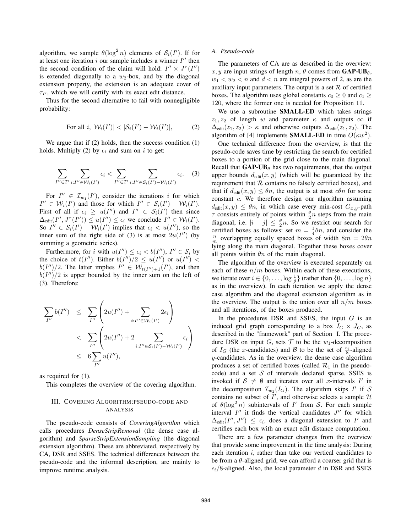algorithm, we sample  $\theta(\log^2 n)$  elements of  $S_i(I')$ . If for<br>at least one iteration i our sample includes a winner I'' then at least one iteration i our sample includes a winner  $I''$  then the second condition of the claim will hold:  $I'' \times J^{\tau}(I'')$ is extended diagonally to a  $w_2$ -box, and by the diagonal extension property, the extension is an adequate cover of  $\tau_{I'}$ , which we will certify with its exact edit distance.

Thus for the second alternative to fail with nonnegligible probability:

For all 
$$
i, |\mathcal{W}_i(I')| < |\mathcal{S}_i(I') - \mathcal{W}_i(I')|,
$$
 (2)

We argue that if (2) holds, then the success condition (1) holds. Multiply (2) by  $\epsilon_i$  and sum on i to get:

$$
\sum_{I'' \in \mathcal{I}'} \sum_{i:I'' \in \mathcal{W}_i(I')} \epsilon_i < \sum_{I'' \in \mathcal{I}'} \sum_{i:I'' \in \mathcal{S}_i(I') - \mathcal{W}_i(I')} \epsilon_i. \tag{3}
$$

For  $I'' \in \mathcal{I}_{w_1}(I')$ , consider the iterations i for which  $I'' \in S(I') - \mathcal{W}(I')$  $I'' \in \mathcal{W}_i(I')$  and those for which  $I'' \in \mathcal{S}_i(I') - \mathcal{W}_i(I')$ .<br>First of all if  $\epsilon_i \geq \mathcal{W}(I'')$  and  $I'' \in \mathcal{S}_i(I')$  then since First of all if  $\epsilon_i \geq u(I'')$  and  $I'' \in S_i(I')$  then since  $\Lambda_{i,j}(I'', I^{T}(I'')) \leq u(I'') \leq \epsilon_i$ , we conclude  $I'' \in \mathcal{W}_i(I')$  $\Delta_{\text{edit}}(I'', J^{\tau}(I'')) \leq u(I'') \leq \epsilon_i$  we conclude  $I'' \in \mathcal{W}_i(I')$ .<br>So  $I'' \in \mathcal{S}_i(I') - \mathcal{W}_i(I')$  implies that  $\epsilon_i \leq u(I'')$  so the So  $I'' \in \mathcal{S}_i(I') - \mathcal{W}_i(I')$  implies that  $\epsilon_i < u(I'')$ , so the inner sum of the right side of (3) is at most  $2u(I'')$  (by inner sum of the right side of (3) is at most  $2u(I'')$  (by summing a geometric series).

Furthermore, for i with  $u(I'') \leq \epsilon_i < b(I'')$ ,  $I'' \in S_i$  by the choice of  $t(I'')$ . Either  $b(I'')/2 \leq u(I'')$  or  $u(I'') <$  $b(I'')/2$ . The latter implies  $I'' \in \mathcal{W}_{t(I'')+1}(I')$ , and then  $b(I'')/2$  is upper bounded by the inner sum on the left of  $b(I'')/2$  is upper bounded by the inner sum on the left of (3). Therefore:

$$
\sum_{I''} b(I'') \leq \sum_{I''} \left( 2u(I'') + \sum_{i:I'' \in \mathcal{W}_i(I')} 2\epsilon_i \right)
$$
  
< 
$$
< \sum_{I''} \left( 2u(I'') + 2 \sum_{i:I'' \in S_i(I') - \mathcal{W}_i(I')} \epsilon_i \right)
$$
  
< 
$$
\leq 6 \sum_{I''} u(I''),
$$

as required for (1).

This completes the overview of the covering algorithm.

# III. COVERING ALGORITHM:PSEUDO-CODE AND ANALYSIS

The pseudo-code consists of *CoveringAlgorithm* which calls procedures *DenseStripRemoval* (the dense case algorithm) and *SparseStripExtensionSampling* (the diagonal extension algorithm). These are abbreviated, respectively by CA, DSR and SSES. The technical differences between the pseudo-code and the informal description, are mainly to improve runtime analysis.

# *A. Pseudo-code*

The parameters of CA are as described in the overview: x, y are input strings of length n,  $\theta$  comes from GAP-UB $_{\theta}$ ,  $w_1 < w_2 < n$  and  $d < n$  are integral powers of 2, as are the arrivious input powers of  $\mathcal{D}$  and  $\mathcal{D}$  of eartified auxiliary input parameters. The output is a set  $R$  of certified boxes. The algorithm uses global constants  $c_0 \geq 0$  and  $c_1 \geq$ 120, where the former one is needed for Proposition 11.

We use a subroutine SMALL-ED which takes strings  $z_1, z_2$  of length w and parameter  $\kappa$  and outputs  $\infty$  if  $\Delta_{\text{edit}}(z_1, z_2) > \kappa$  and otherwise outputs  $\Delta_{\text{edit}}(z_1, z_2)$ . The algorithm of [4] implements **SMALL-ED** in time  $O(\kappa w^2)$ .

One technical difference from the overview, is that the pseudo-code saves time by restricting the search for certified boxes to a portion of the grid close to the main diagonal. Recall that  $GAP-UB_{\theta}$  has two requirements, that the output upper bounds  $d_{\text{edit}}(x, y)$  (which will be guaranteed by the requirement that  $R$  contains no falsely certified boxes), and that if  $d_{\text{edit}}(x, y) \leq \theta n$ , the output is at most  $c\theta n$  for some constant c. We therefore design our algorithm assuming  $d_{\text{edit}}(x, y) \leq \theta n$ , in which case every min-cost  $G_{x,y}$ -path consists entirely of points within  $\frac{\theta}{2}n$  steps from the main<br>diagonal i.e.  $|i - i| < \frac{\theta}{2}n$ . So we restrict our search for diagonal, i.e.  $|i - j| \leq \frac{\theta}{2}n$ . So we restrict our search for certified boxes as follows: set  $m = \frac{1}{2}\theta n$  and consider the certified boxes as follows: set  $m = \frac{1}{4}\theta n$ , and consider the  $\frac{n}{2}$  overlapping equally spaced boxes of width  $8m = 2\theta n$  $\frac{n}{m}$  overlapping equally spaced boxes of width  $8m = 2\theta n$ lying along the main diagonal. Together these boxes cover all points within  $\theta n$  of the main diagonal.

The algorithm of the overview is executed separately on each of these  $n/m$  boxes. Within each of these executions, we iterate over  $i \in \{0, \ldots, \log \frac{1}{\theta}\}\$  (rather than  $\{0, \ldots, \log n\}$ )<br>as in the overview). In each iteration we apply the dense as in the overview). In each iteration we apply the dense case algorithm and the diagonal extension algorithm as in the overview. The output is the union over all  $n/m$  boxes and all iterations, of the boxes produced.

In the procedures DSR and SSES, the input  $G$  is an induced grid graph corresponding to a box  $I_G \times J_G$ , as described in the "framework" part of Section I. The procedure DSR on input G, sets  $T$  to be the w<sub>1</sub>-decomposition of  $I_G$  (the x-candidates) and B to be the set of  $\frac{\epsilon_i}{8}$ -aligned  $u$ -candidates. As in the overview the dense case algorithm y-candidates. As in the overview, the dense case algorithm produces a set of certified boxes (called  $\mathcal{R}_1$  in the pseudocode) and a set  $S$  of intervals declared sparse. SSES is invoked if  $S \neq \emptyset$  and iterates over all x-intervals I' in the decomposition  $\mathcal{I}_{w_2}(I_G)$ . The algorithm skips I' if S contains no subset of  $\overline{I}'$ , and otherwise selects a sample  $\mathcal H$ of  $\theta(\log^2 n)$  subintervals of I' from S. For each sample interval  $I''$  it finds the vertical candidates  $J''$  for which  $\Delta_{\text{edit}}(I'', J'') \leq \epsilon_i$ , does a diagonal extension to I' and certifies each box with an exact edit distance computation.

There are a few parameter changes from the overview that provide some improvement in the time analysis: During each iteration  $i$ , rather than take our vertical candidates to be from a  $\theta$ -aligned grid, we can afford a coarser grid that is  $\epsilon_i/8$ -aligned. Also, the local parameter d in DSR and SSES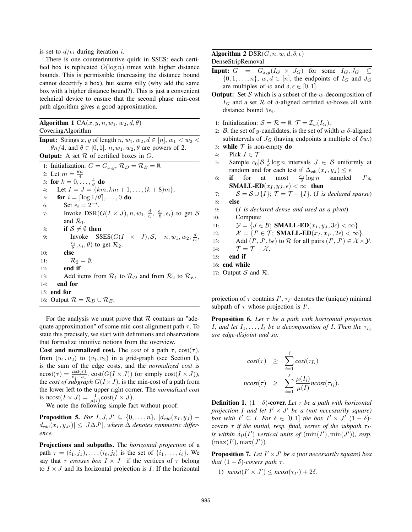is set to  $d/\epsilon_i$  during iteration *i*.

There is one counterintuitive quirk in SSES: each certified box is replicated  $O(\log n)$  times with higher distance bounds. This is permissible (increasing the distance bound cannot decertify a box), but seems silly (why add the same box with a higher distance bound?). This is just a convenient technical device to ensure that the second phase min-cost path algorithm gives a good approximation.

| <b>Algorithm 1</b> CA $(x, y, n, w_1, w_2, d, \theta)$                                                         |
|----------------------------------------------------------------------------------------------------------------|
| CoveringAlgorithm                                                                                              |
| <b>Input:</b> Strings x, y of length n, $w_1, w_2, d \in [n], w_1 < w_2$                                       |
| $\theta n/4$ , and $\theta \in [0,1]$ . $n, w_1, w_2, \theta$ are powers of 2.                                 |
| <b>Output:</b> A set $R$ of certified boxes in $G$ .                                                           |
| 1: Initialization: $G = G_{x,y}$ , $\mathcal{R}_D = \mathcal{R}_E = \emptyset$ .                               |
| 2: Let $m = \frac{\theta n}{4}$                                                                                |
| 3: for $k = 0, , \frac{4}{9}$ do                                                                               |
| Let $I = J = \{km, km + 1, , (k + 8)m\}.$<br>4:                                                                |
| for $i = \lceil \log 1/\theta \rceil, \ldots, 0$ do<br>5:                                                      |
| Set $\epsilon_i = 2^{-i}$ .<br>6:                                                                              |
| Invoke DSR( $G(I \times J)$ , $n, w_1, \frac{d}{\epsilon_i}, \frac{\epsilon_i}{8}, \epsilon_i)$ to get S<br>7: |
| and $\mathcal{R}_1$ .                                                                                          |
| if $S \neq \emptyset$ then<br>8:                                                                               |
| Invoke SSES( $G(I \times J), S, n, w_1, w_2, \frac{d}{\epsilon_i},$<br>9:                                      |
| $\frac{\epsilon_i}{8}, \epsilon_i, \theta$ to get $\mathcal{R}_2$ .                                            |
| else<br>10:                                                                                                    |
| $\mathcal{R}_2=\emptyset.$<br>11:                                                                              |
| end if<br>12:                                                                                                  |
| Add items from $\mathcal{R}_1$ to $\mathcal{R}_D$ and from $\mathcal{R}_2$ to $\mathcal{R}_E$ .<br>13:         |
| end for<br>14:                                                                                                 |
| end for<br>15:                                                                                                 |
| 16: Output $\mathcal{R} = \mathcal{R}_D \cup \mathcal{R}_E$ .                                                  |
|                                                                                                                |
|                                                                                                                |

For the analysis we must prove that  $R$  contains an "adequate approximation" of some min-cost alignment path  $\tau$ . To state this precisely, we start with definitions and observations that formalize intuitive notions from the overview.

Cost and normalized cost. The *cost* of a path  $\tau$ , cost( $\tau$ ), from  $(u_1, u_2)$  to  $(v_1, v_2)$  in a grid-graph (see Section I), is the sum of the edge costs, and the *normalized cost* is  $\text{ncost}(\tau) = \frac{\text{cost}(\tau)}{v_1 - u_1}$ .  $\text{cost}(G(I \times J))$  (or simply  $\text{cost}(I \times J)$ ),<br>the cost of subgraph  $G(I \times J)$  is the min-cost of a path from the *cost of subgraph*  $G(I \times J)$ , is the min-cost of a path from the lower left to the upper right corner. The *normalized cost* is ncost $(I \times J) = \frac{1}{\mu(I)} \text{cost}(I \times J)$ .<br>We note the following simple factor

We note the following simple fact without proof:

**Proposition 5.** *For*  $I, J, J' \subseteq \{0, \ldots, n\}$ ,  $|d_{edit}(x_I, y_J) \frac{d_{edit}(x_I, y_{J})}{dx_{l}}$  $|S| \leq |J\Delta J'|$ , where  $\Delta$  *denotes symmetric difference.*

Projections and subpaths. The *horizontal projection* of a path  $\tau = (i_1, j_1), \ldots, (i_\ell, j_\ell)$  is the set of  $\{i_1, \ldots, i_\ell\}$ . We say that  $\tau$  *crosses box*  $I \times J$  if the vertices of  $\tau$  belong to  $I \times J$  and its horizontal projection is I. If the horizontal

# Algorithm 2  $DSR(G, n, w, d, \delta, \epsilon)$ DenseStripRemoval

- **Input:**  $G = G_{x,y}(I_G \times J_G)$  for some  $I_G, J_G \subseteq$  $\{0, 1, \ldots, n\}, w, d \in [n]$ , the endpoints of  $I_G$  and  $J_G$ are multiples of w and  $\delta, \epsilon \in [0, 1]$ .
- **Output:** Set S which is a subset of the w-decomposition of  $I_G$  and a set  $R$  of  $\delta$ -aligned certified w-boxes all with distance bound  $5\epsilon_i$ .
- 1: Initialization:  $S = \mathcal{R} = \emptyset$ .  $\mathcal{T} = \mathcal{I}_w(I_G)$ .
- 2: B, the set of y-candidates, is the set of width w  $\delta$ -aligned subintervals of  $J_G$  (having endpoints a multiple of  $\delta w$ .)
- 3: while  $T$  is non-empty do
- 4: Pick  $I \in \mathcal{T}$
- 5: Sample  $c_0|\mathcal{B}|\frac{1}{d}\log n$  intervals  $J \in \mathcal{B}$  uniformly at random and for each test if  $\Delta_{\mathcal{F}}(x, y) \leq \epsilon$ random and for each test if  $\Delta_{\text{edit}}(x_I, y_J) \leq \epsilon$ .<br> **if** for at most  $\frac{c_0}{2} \log n$  sampled
- 6:  $if$  for at most sampled  $J$ 's, SMALL-ED $(x_I, y_J, \epsilon) < \infty$  then

7:  $S = S \cup \{I\}$ ;  $\mathcal{T} = \mathcal{T} - \{I\}$ . (*I is declared sparse*)<br>8: **else** else

- 9: (I *is declared dense and used as a pivot*)
- 10: Compute:
	-
- 11:  $\mathcal{Y} = \{J \in \mathcal{B}; \text{ SMALL-ED}(x_I, y_J, 3\epsilon) < \infty\}.$ <br>
12:  $\mathcal{X} = \{I' \in \mathcal{T}; \text{ SMALL-ED}(x_I, x_{I'}, 2\epsilon) < \infty\}.$ 12:  $\mathcal{X} = \{I' \in \mathcal{T}; \text{ SMALL-ED}(x_I, x_{I'}, 2\epsilon) < \infty\}.$ <br>
Add  $(I' \mid I' \subseteq \epsilon)$  to R for all pairs  $(I' \mid I') \subseteq \mathcal{X} \times$
- 13: Add  $(I', J', 5\epsilon)$  to  $\mathcal R$  for all pairs  $(I', J') \in \mathcal X \times \mathcal Y$ .<br>
14:  $\mathcal T \mathcal T \mathcal X$
- 14:  $\mathcal{T} = \mathcal{T} \mathcal{X}$ .<br>15: **end if**
- end if
- 16: end while
- 17: Output  $S$  and  $R$ .

projection of  $\tau$  contains  $I', \tau_{I'}$  denotes the (unique) minimal subpath of  $\tau$  whose projection is  $I'$ .

Proposition 6. *Let* τ *be a path with horizontal projection I*, and let  $I_1, \ldots, I_\ell$  be a decomposition of *I*. Then the  $\tau_{I_i}$ *are edge-disjoint and so:*

$$
cost(\tau) \geq \sum_{i=1}^{\ell} cost(\tau_{I_i})
$$

$$
ncost(\tau) \geq \sum_{i=1}^{\ell} \frac{\mu(I_i)}{\mu(I)} ncost(\tau_{I_i}).
$$

**Definition 1.**  $(1 - \delta)$ -cover. Let  $\tau$  be a path with horizontal *projection* I *and let*  $I' \times J'$  *be a (not necessarily square) box with*  $I' \subseteq I$ *. For*  $\delta \in [0,1]$  *the box*  $I' \times J'$   $(1 - \delta)$ covers  $\tau$  *if the initial, resp. final, vertex of the subpath*  $\tau_{I}$ *is within*  $\delta\mu(I')$  *vertical units of*  $(\min(I'), \min(J'))$ *, resp.*<br> $(\max(I'))$   $\max(I'))$  $(\max(I'), \max(J')).$ 

**Proposition 7.** Let  $I' \times J'$  be a (not necessarily square) box *that*  $(1 - \delta)$ *-covers path*  $\tau$ *.* 

1)  $\text{ncost}(I' \times J') \leq \text{ncost}(\tau_{I'})$  $)+2\delta$ .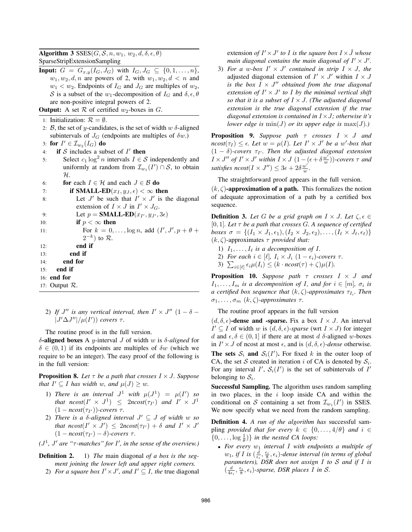Algorithm 3  $SSES(G, S, n, w_1, w_2, d, \delta, \epsilon, \theta)$ SparseStripExtensionSampling

- **Input:**  $G = G_{x,y}(I_G, J_G)$  with  $I_G, J_G \subseteq \{0, 1, ..., n\},$  $w_1, w_2, d, n$  are powers of 2, with  $w_1, w_2, d < n$  and  $w_1, w_2, d < n$  $w_1 < w_2$ . Endpoints of  $I_G$  and  $J_G$  are multiples of  $w_2$ , S is a subset of the w<sub>1</sub>-decomposition of  $I_G$  and  $\delta, \epsilon, \theta$ are non-positive integral powers of 2.
- **Output:** A set  $\mathcal R$  of certified  $w_2$ -boxes in  $G$ .
- 1: Initialization:  $\mathcal{R} = \emptyset$ .
- 2: B, the set of y-candidates, is the set of width  $w \delta$ -aligned subintervals of  $J_G$  (endpoints are multiples of  $\delta w$ .)
- 3: for  $I' \in \mathcal{I}_{w_2}(I_G)$  do<br>4: if S includes a sul
- if  $S$  includes a subset of  $I'$  then
- 5: Select  $c_1 \log^2 n$  intervals  $I \in \mathcal{S}$  independently and uniformly at random from  $\mathcal{I}_{w_1}(I') \cap \mathcal{S}$ , to obtain H.
- 6: **for** each  $I \in \mathcal{H}$  and each  $J \in \mathcal{B}$  **do**
- 7: **if SMALL-ED** $(x_I, y_J, \epsilon) < \infty$  then<br>8: Let J' be such that  $I' \times J'$  is the
- Let  $J'$  be such that  $I' \times J'$  is the diagonal extension of  $I \times J$  in  $I' \times J_G$ .

9: Let  $p = \text{SMALL-ED}(x_{I'}, y_{J'}, 3\epsilon)$ <br>if  $n \leq \infty$  then

- 10: **if**  $p < \infty$  then 11: For  $k = 0, ..., \log n$ , add  $(I', J', p + \theta + \theta'$  $2^{-k}$ ) to  $\mathcal{R}$ .
- 12: end if
- 13: end if
- 14: end for
- 15: end if
- 16: end for

17: Output R.

- - 2) If  $J''$  is any vertical interval, then  $I' \times J''$  (1  $\delta$   $|J'\Delta J''|/\mu(I'))$  covers  $\tau$ .

The routine proof is in the full version.

δ-aligned boxes A y-interval J of width w is δ*-aligned* for  $\delta \in (0,1)$  if its endpoints are multiples of  $\delta w$  (which we require to be an integer). The easy proof of the following is in the full version:

**Proposition 8.** Let  $\tau$  be a path that crosses  $I \times J$ . Suppose *that*  $I' \subseteq I$  *has width* w, and  $\mu(J) \geq w$ .

- 1) *There is an interval*  $J^1$  *with*  $\mu(J^1) = \mu(I')$  *so*<br>*that negst* $(I' \times I^1) \leq$  2negst $(\tau_{II})$  and  $I' \times I^1$ *that*  $ncost(I' \times J^1) \leq 2ncost(\tau_{I'})$ <br> $(1 - ncost(\tau_{I'}) )$ -covers  $\tau$  $\int$  *and*  $I' \times J^1$  $(1 - ncost(\tau_{I'}))$ <br>There is a  $\delta_{-t}$ ))*-covers* τ.<br>*alianed* inter
- 2) *There is a*  $\delta$ *-aligned interval*  $J' \subseteq J$  *of width* w so *that ncost*( $I' \times J'$ )  $\leq 2ncost(\tau_{I'})$ <br>  $(1 - ncost(\tau_{I'}) - \delta)$ -covers  $\tau$  $)+ \delta$  *and*  $I' \times J'$  $(1 - ncost(\tau_{I'})$ ) <sup>−</sup> <sup>δ</sup>)*-covers* τ.
- $(J<sup>1</sup>, J'$  are " $\tau$ -matches" for  $I'$ , in the sense of the overview.)

Definition 2. 1) *The* main diagonal *of a box is the segment joining the lower left and upper right corners.*

2) *For a square box*  $I' \times J'$ *, and*  $I' \subseteq I$ *, the true diagonal* 

extension *of*  $I' \times J'$  *to* I *is the square box*  $I \times \hat{J}$  *whose main diagonal contains the main diagonal of*  $I' \times J'$ .

3) For a w-box  $I' \times J'$  contained in strip  $I \times J$ , the adjusted diagonal extension of  $I' \times J'$  within  $I \times J$ *is the box*  $I \times J''$  *obtained from the true diagonal extension of*  $I' \times J'$  *to I by the minimal vertical shift so that it is a subset of*  $I \times J$ *. (The adjusted diagonal extension is the true diagonal extension if the true diagonal extension is contained in* I×J*; otherwise it's lower edge is*  $min(J)$  *or its upper edge is*  $max(J)$ *.*)

Proposition 9. *Suppose path* τ *crosses* I × J *and*  $\text{arcost}(\tau_I) \leq \epsilon$ . Let  $w = \mu(I)$ *. Let*  $I' \times J'$  *be a w'-box that*  $(1 - \delta)$ -covers  $\tau_{II}$ . Then the adjusted diagonal extension  $(1 - \delta)$ -covers  $\tau_{I'}$ . Then the adjusted diagonal extension  $I \times I''$  of  $I' \times I'$  within  $I \times I (1 - (\epsilon + \delta \frac{w'}{v}))$ -covers  $\tau$  and  $I \times J''$  of  $I' \times J'$  within  $I \times J$   $(1 - (\epsilon + \delta \frac{w'}{w}))$ -covers  $\tau$  and *satisfies*  $ncost(I \times J'') \leq 3\epsilon + 2\delta \frac{w'}{w}$ .

The straightforward proof appears in the full version.

 $(k, \zeta)$ -approximation of a path. This formalizes the notion of adequate approximation of a path by a certified box sequence.

**Definition 3.** Let G be a grid graph on  $I \times J$ . Let  $\zeta, \epsilon \in$ [0, 1]*. Let* <sup>τ</sup> *be a path that crosses* <sup>G</sup>*. A sequence of certified boxes*  $\sigma = \{(I_1 \times J_1, \epsilon_1), (I_2 \times J_2, \epsilon_2), \ldots, (I_\ell \times J_\ell, \epsilon_\ell)\}\$  $(k, \zeta)$ -approximates  $\tau$  *provided that:* 

- 1)  $I_1, \ldots, I_\ell$  *is a decomposition of I.*
- 2) *For each*  $i \in [\ell], I_i \times J_i (1 \epsilon_i)$ *-covers*  $\tau$ *.*
- 3)  $\sum_{i\in[\ell]} \epsilon_i \mu(I_i) \leq (k \cdot ncost(\tau) + \zeta)\mu(I).$

Proposition 10. *Suppose path* τ *crosses* I × J *and*  $I_1, \ldots, I_m$  *is a decomposition of I, and for*  $i \in [m]$ *,*  $\sigma_i$  *is*<br>*a certified hox sequence that*  $(k \land)$ -approximates  $\tau_i$ . Then *a* certified box sequence that  $(k, \zeta)$ -approximates  $\tau_{I_i}$ . Then  $\sigma_1, \ldots, \sigma_m$   $(k, \zeta)$ *-approximates*  $\tau$ *.* 

The routine proof appears in the full version

 $(d, \delta, \epsilon)$ -dense and -sparse. Fix a box  $I \times J$ . An interval  $I' \subseteq I$  of width w is  $(d, \delta, \epsilon)$ -sparse (wrt  $I \times J$ ) for integer d and  $\epsilon, \delta \in (0, 1]$  if there are at most d  $\delta$ -aligned w-boxes in  $I' \times J$  of ncost at most  $\epsilon$ , and is  $(d, \delta, \epsilon)$ *-dense* otherwise. **The sets**  $S_i$  **and**  $S_i(I')$ **.** For fixed k in the outer loop of  $CA$  is denoted by  $S_i$ . CA, the set S created in iteration i of CA is denoted by  $S_i$ . For any interval  $I'$ ,  $S_i(I')$  is the set of subintervals of  $I'$ <br>belonging to S. belonging to  $S_i$ .

Successful Sampling. The algorithm uses random sampling in two places, in the  $i$  loop inside CA and within the conditional on S containing a set from  $\mathcal{I}_{w_1}(I')$  in SSES.<br>We now specify what we need from the random sampling We now specify what we need from the random sampling.

Definition 4. *A run of the algorithm has* successful sampling *provided that for every*  $k \in \{0, \ldots, 4/\theta\}$  *and*  $i \in$  $\{0,\ldots,\log\frac{1}{\theta}\}\$  *in the nested CA loops:*<br>For even an interval *L* with end-

• For every  $w_1$  *interval*  $I$  *with endpoints a multiple of*  $w_1$ , if I is  $(\frac{\tilde{d}}{\epsilon}, \frac{\epsilon_i}{8}, \epsilon_i)$ -dense interval (in terms of global<br>parameters). DSR does not assign I to S and if I is *parameters), DSR does not assign* I *to* S *and if* I *is*  $\left(\frac{d}{4\epsilon_i}, \frac{\epsilon_i}{8}, \epsilon_i\right)$ -sparse, DSR places  $\overline{I}$  in  $\mathcal{S}$ .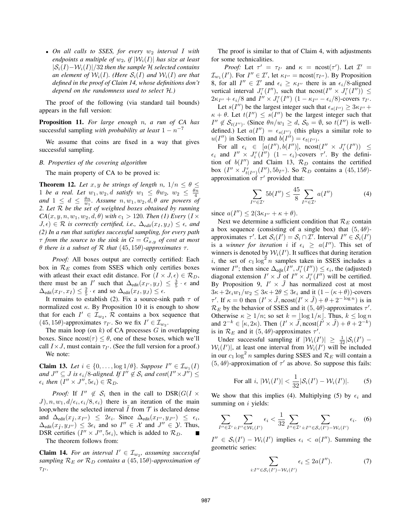• *On all calls to SSES, for every*  $w_2$  *interval I* with *endpoints a multiple of*  $w_2$ , *if*  $|W_i(I)|$  *has size at least* |S<sup>i</sup>(I)−W<sup>i</sup>(I)|/32 *then the sample* <sup>H</sup> *selected contains an element of*  $W_i(I)$ *. (Here*  $S_i(I)$  *and*  $W_i(I)$  *are that defined in the proof of Claim 14, whose definitions don't depend on the randomness used to select* H*.)*

The proof of the following (via standard tail bounds) appears in the full version:

Proposition 11. *For large enough* n*, a run of CA has* successful sampling *with probability at least*  $1 - n^{-7}$ 

We assume that coins are fixed in a way that gives successful sampling.

#### *B. Properties of the covering algorithm*

The main property of CA to be proved is:

**Theorem 12.** Let  $x, y$  be strings of length  $n, 1/n \leq \theta \leq$ 1 *be a real. Let*  $w_1, w_2, d$  *satisfy*  $w_1 \le \theta w_2, w_2 \le \frac{\theta n}{4}$ and  $1 \leq d \leq \frac{\theta n}{w_1}$ . Assume  $n, w_1, w_2, d, \theta$  are powers of  $2$ , Let R he the set of weighted hoxes obtained by running *2. Let* R *be the set of weighted boxes obtained by running*  $CA(x, y, n, w_1, w_2, d, \theta)$  *with*  $c_1 > 120$ *. Then (1) Every* (*I*  $\times$  $J, \epsilon) \in \mathcal{R}$  *is correctly certified, i.e.,*  $\Delta_{edit}(x_I, y_J) \leq \epsilon$ *, and (2) In a run that satisfies successful sampling, for every path*  $\tau$  *from the source to the sink in*  $G = G_{x,y}$  *of cost at most* θ *there is a subset of*  $\mathcal R$  *that*  $(45, 15θ)$ *-approximates*  $\tau$ *.* 

*Proof:* All boxes output are correctly certified: Each box in  $\mathcal{R}_E$  comes from SSES which only certifies boxes with at least their exact edit distance. For  $(I \times J, \epsilon) \in \mathcal{R}_D$ , there must be an I' such that  $\Delta_{\text{cdit}}(x_1, y_1) \leq \frac{3}{5} \cdot \epsilon$  and  $\Delta_{\text{ref}}(x_1, y_1) \leq \epsilon$  $\Delta_{\text{edit}}(x_I, x_I) \leq \frac{2}{5} \cdot \epsilon$  and so  $\Delta_{\text{edit}}(x_I, y_J) \leq \epsilon$ .<br>It remains to establish (2) Fix a source-sin

It remains to establish (2). Fix a source-sink path  $\tau$  of normalized cost  $\kappa$ . By Proposition 10 it is enough to show that for each  $I' \in \mathcal{I}_{w_2}$ , R contains a box sequence that (45, 15 $\theta$ )-approximates  $\tau_{I'}$ . So we fix  $I' \in \mathcal{I}_{w_2}$ .<br>The main loop (on k) of CA processes  $C$  in

The main loop (on  $k$ ) of CA processes  $G$  in overlapping boxes. Since  $\text{ncost}(\tau) \leq \theta$ , one of these boxes, which we'll call  $I \times J$ , must contain  $\tau_{I'}$ . (See the full version for a proof.) We note:

**Claim 13.** Let  $i \in \{0, \ldots, \log 1/\theta\}$ . Suppose  $I'' \in \mathcal{I}_{w_1}(I)$ *and*  $J'' \subseteq J$  *is*  $\epsilon_i/8$ *-aligned. If*  $I'' \notin S_i$  *and cost* $(I'' \times J'') \leq I''$  $\epsilon_i$  *then*  $(I'' \times J'', 5\epsilon_i) \in \mathcal{R}_D$ .

*Proof:* If  $I'' \notin S_i$  then in the call to  $DSR(G) \times$  $J$ ,  $n, w_1, d/\epsilon_i, \epsilon_i/8, \epsilon_i)$  there is an iteration of the main loop, where the selected interval  $I$  from  $\mathcal T$  is declared dense and  $\Delta_{\text{edit}}(x_{\tilde{I}}, x_{I''})$  $\begin{array}{l} 0 \leq 2\epsilon_i$ . Since  $\Delta_{\text{edit}}(x_{I'',}, y_{J''})$ <br>36. and so  $I'' \in \mathcal{X}$  and  $I'' \in \mathcal{Y}$  $\begin{cases} 0 \leq \epsilon_i, \\ 0 \leq \epsilon_i, \end{cases}$  $\Delta_{\text{edit}}(x_{\tilde{I}}, y_{J''})$ <br>DSR certifies  $\left( \begin{array}{c} 0 \leq 3\epsilon_i \text{ and so } I'' \in \mathcal{X} \text{ and } J'' \in \mathcal{Y}. \text{ Thus,} \\ \frac{I'' \vee I'' \vee I''}{I'' \cdot I''} \text{ for } i \text{ is added to } \mathcal{R}_D \end{array} \right)$ DSR certifies  $(I'' \times J'', 5\epsilon_i)$ , which is added to  $\mathcal{R}_D$ . The theorem follows from:

**Claim 14.** For an interval  $I' \in \mathcal{I}_{w_2}$ , assuming successful *sampling*  $\mathcal{R}_E$  *or*  $\mathcal{R}_D$  *contains a* (45, 15 $\theta$ )*-approximation of*  $\tau_{I'}$ .

The proof is similar to that of Claim 4, with adjustments for some technicalities.

*Proof:* Let  $\tau' = \tau_{I'}$  and  $\kappa = \text{ncost}(\tau')$ . Let  $\mathcal{I}' = I'$ . For  $I'' \in \mathcal{T}'$  let  $\kappa_{I} = \text{ncost}(\tau_{I'})$ . By Proposition  $\mathcal{I}_{w_1}(I')$ . For  $I'' \in \mathcal{I}'$ , let  $\kappa_{I''}$ <br>8 for all  $I'' \in \mathcal{I}'$  and  $\epsilon >$ =  $\text{ncost}(\tau_{I''})$ . By Proposition 8, for all  $I'' \in \mathcal{I}'$  and  $\epsilon_i \geq \kappa_{I''}$  there is an  $\epsilon_i/8$ -aligned<br>vertical interval  $I^T(I'')$  such that  $\text{recost}(I'' \vee I^T(I''))$ vertical interval  $J_i^{\tau}(I'')$ , such that  $\text{ncost}(I'' \times J_i^{\tau}(I'')) \le 2\kappa_{\text{XU}} + \epsilon_{\text{U}}/8$  and  $I'' \times J_i^{\tau}(I'')$   $(1 - \kappa_{\text{XU}} - \epsilon_{\text{U}}/8)$ -covers  $\tau_{\text{XU}}$  $2\kappa_{I''}$ <br> $\frac{1}{2}$ +  $\epsilon_i/8$  and  $I'' \times J_i^{\tau}(I'')$   $(1 - \kappa_{I''} - \epsilon_i/8)$ -covers  $\tau_{I'}$ .

Let  $s(I'')$  be the largest integer such that  $\epsilon_{s(I'')} \geq 3\kappa_{I''}$ <br>+  $\theta$  Let  $t(I'') < s(I'')$  be the largest integer such the  $\kappa + \theta$ . Let  $t(I'') \leq s(I'')$  be the largest integer such that  $I'' \leq S_{\text{CCO}}$ . (Since  $\theta n/w_1 \geq d$ ,  $S_2 = \emptyset$ , so  $t(I'')$  is well.  $I'' \notin \mathcal{S}_{t(I'')}$ . (Since  $\theta n/w_1 \geq d$ ,  $\mathcal{S}_0 = \emptyset$ , so  $t(I'')$  is well-<br>defined in the  $a(I'') = \epsilon$  (in this plays a similar role to defined.) Let  $a(I'') = \epsilon_{s(I'')}$  (this plays a similar role to  $u(I'')$  in Section II) and  $h(I'') = \epsilon_{s(I'')}$  $u(I'')$  in Section II) and  $b(I'') = \epsilon_{t(I'')}$ .<br>For all  $\epsilon_i \in [a(I'') \; b(I'')]$  negst

For all  $\epsilon_i \in [a(I''), b(I'')], \text{ncost}(I'' \times J_i^{\tau}(I'')) \le$ <br>and  $I'' \times I^{\tau}(I'')$   $(1 - \epsilon_i)$ -covers  $\tau'$ . By the defini- $\epsilon_i$  and  $I'' \times J_i^{\tau}(\tilde{I}'') \ (1 - \epsilon_i)$ -covers  $\tau'$ . By the defini-<br>tion of  $h(I'')$  and Claim 13  $\mathcal{R}_D$  contains the certified tion of  $b(I'')$  and Claim 13,  $\mathcal{R}_D$  contains the certified box  $(I'' \times J_{t(I'')}^{\tau}(I''), 5b_{I''}$  $\begin{array}{lll} \text{box} & (I \times J_{t(I'')}(I''), \text{op}_{I''}). \text{ so } h \\ \text{approximation of } \tau' & \text{provided that:} \end{array}$ ). So  $\mathcal{R}_D$  contains a  $(45, 15\theta)$ -

$$
\sum_{I'' \in \mathcal{I}'} 5b(I'') \le \frac{45}{8} \sum_{I'' \in \mathcal{I}'} a(I'')
$$
 (4)

since  $a(I'') \leq 2(3\kappa_{I''})$ <br>Next we determine  $+\kappa + \theta$ ).

Next we determine a sufficient condition that  $\mathcal{R}_E$  contain a box sequence (consisting of a single box) that  $(5, 4\theta)$ approximates  $\tau'$ . Let  $S_i(I') = S_i \cap I'$ . Interval  $I'' \in S_i(I')$ <br>is a winner for iteration i if  $\epsilon_i \geq a(I'')$ . This set of is a *winner for iteration* i if  $\epsilon_i \ge a(I'')$ . This set of<br>winners is denoted by  $W(I')$  It suffices that during iteration winners is denoted by  $W_i(I')$ . It suffices that during iteration  $i$ , the set of  $c_2 \log^2 n$  samples taken in SSES includes a i, the set of  $c_1 \log^2 n$  samples taken in SSES includes a winner I''; then since  $\Delta_{edit}(\tilde{I}'', J_i^{\tau}(I'')) \le \epsilon_i$ , the (adjusted)<br>diagonal extension  $I' \times \tilde{I}$  of  $I'' \times I^{\tau}(I'')$  will be certified diagonal extension  $I' \times \overline{J}$  of  $I'' \times J_{\tau}(\overline{I''})$  will be certified.<br>By Proposition 9  $I' \times \overline{J}$  has normalized cost at most By Proposition 9,  $I' \times \tilde{J}$  has normalized cost at most  $3\kappa + 2\epsilon_i w_1/w_2 \leq 3\kappa + 2\theta \leq 3\epsilon_i$  and it  $(1-(\kappa+\theta))$ -covers  $\tau'$ . If  $\kappa = 0$  then  $(I' \times \tilde{J})$ ,  $\kappa = 0$  is in  $\mathcal{R}_{\tau}$  by the behavior of SSES and it  $(5, 4\theta)$ -approximates  $\tau'$  $\mathcal{R}_E$  by the behavior of SSES and it  $(5, 4\theta)$ -approximates  $\tau'$ .<br>Otherwise  $\kappa > 1/n$ : so set  $k = |\log 1/k|$ . Thus  $k < \log n$ . Otherwise  $\kappa \geq 1/n$ ; so set  $k = \lfloor \log 1/\kappa \rfloor$ . Thus,  $k \leq \log n$ and  $2^{-k} \in [\kappa, 2\kappa)$ . Then  $(I' \times \tilde{J}, \text{ncost}(I' \times \tilde{J}) + \theta + 2^{-k})$ is in  $\mathcal{R}_E$  and it  $(5, 4\theta)$ -approximates  $\tau'$ .<br>
Under successful sampling if  $|\mathcal{W}_L(T)|$ 

Under successful sampling if  $|\mathcal{W}_i(I')| \geq \frac{1}{32} |\mathcal{S}_i(I') - \mathcal{W}_i(I')|$  at least one interval from  $\mathcal{W}_i(I')$  will be included  $W_i(I')$ , at least one interval from  $W_i(I')$  will be included<br>in our c<sub>1</sub> log<sup>2</sup> n samples during SSES and  $R_E$  will contain a in our  $c_1 \log^2 n$  samples during SSES and  $\mathcal{R}_E$  will contain a  $(5, 4\theta)$ -approximation of  $\tau'$  as above. So suppose this fails:

For all 
$$
i
$$
,  $|W_i(I')| < \frac{1}{32} |S_i(I') - W_i(I')|$ . (5)  
We show that this implies (4). Multiplying (5) by  $\epsilon_i$  and

summing on  $i$  yields:

$$
\sum_{I''\in\mathcal{I}'}\sum_{i:I''\in\mathcal{W}_i(I')} \epsilon_i < \frac{1}{32} \sum_{I''\in\mathcal{I}'}\sum_{i:I''\in\mathcal{S}_i(I')-\mathcal{W}_i(I')} \epsilon_i. \tag{6}
$$

 $I'' \in S_i(I') - \mathcal{W}_i(I')$  implies  $\epsilon_i < a(I'')$ . Summing the geometric series: geometric series:

$$
\sum_{i:I'' \in \mathcal{S}_i(I') - \mathcal{W}_i(I')} \epsilon_i \le 2a(I''). \tag{7}
$$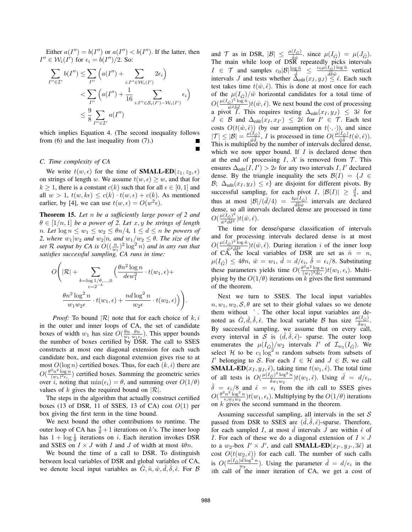Either  $a(I'') = b(I'')$  or  $a(I'') < b(I'')$ . If the latter, then  $I'' \in \mathcal{W}_i(I')$  for  $\epsilon_i = b(I'')/2$ . So:

$$
\sum_{I'' \in \mathcal{I}'} b(I'') \leq \sum_{I''} \left( a(I'') + \sum_{i:I'' \in \mathcal{W}_i(I')} 2\epsilon_i \right)
$$
  

$$
< \sum_{I''} \left( a(I'') + \frac{1}{16} \sum_{i:I'' \in \mathcal{S}_i(I') - \mathcal{W}_i(I')} \epsilon_i \right)
$$
  

$$
\leq \frac{9}{8} \sum_{I'' \in \mathcal{I}'} a(I'')
$$

which implies Equation 4. (The second inequality follows from (6) and the last inequality from (7).)

# *C. Time complexity of CA*

We write  $t(w, \epsilon)$  for the time of **SMALL-ED** $(z_1, z_2, \epsilon)$ on strings of length w. We assume  $t(w, \epsilon) \geq w$ , and that for  $k \geq 1$ , there is a constant  $c(k)$  such that for all  $\epsilon \in [0, 1]$  and all  $w > 1$ ,  $t(w, k\epsilon) \leq c(k) \cdot t(w, \epsilon) + c(k)$ . As mentioned earlier, by [4], we can use  $t(w, \epsilon) = O(w^2 \epsilon)$ .

Theorem 15. *Let* n *be a sufficiently large power of 2 and*  $\theta \in [1/n, 1]$  *be a power of 2. Let* x, y *be strings of length n. Let*  $\log n \leq w_1 \leq w_2 \leq \theta n/4$ ,  $1 \leq d \leq n$  *be powers of 2, where*  $w_1|w_2$  *and*  $w_2|n$ *, and*  $w_1/w_2 \leq \theta$ *. The size of the set* R *output by CA is*  $O((\frac{n}{w_1})^2 \log^2 n)$  *and in any run that*<br>*satisfies* successful sampling CA runs in time: *satisfies successful sampling, CA runs in time:*

$$
O\left(|\mathcal{R}|+\sum_{\substack{k=\log 1/\theta,\ldots,0\\ \epsilon=2^{-k}}}\left(\frac{\theta n^2\log n}{d\epsilon w_1^2}\cdot t(w_1,\epsilon)+\frac{\theta n^2\log^2 n}{w_1w_2\epsilon}\cdot t(w_1,\epsilon)+\frac{nd\log^2 n}{w_2\epsilon}\cdot t(w_2,\epsilon)\right)\right).
$$

*Proof:* To bound  $|R|$  note that for each choice of  $k, i$ in the outer and inner loops of CA, the set of candidate boxes of width  $w_1$  has size  $O(\frac{\theta n}{w_1} \frac{\theta n}{w_1 \epsilon_i})$ . This upper bounds the number of boxes certified by DSR. The call to SSES constructs at most one diagonal extension for each such candidate box, and each diagonal extension gives rise to at most  $O(\log n)$  certified boxes. Thus, for each  $(k, i)$  there are  $O(\frac{\theta^2 n^2 \log n}{(w_1)^2 \epsilon_i})$  certified boxes. Summing the geometric series<br>over i noting that  $\min(\epsilon_i) - \theta$  and summing over  $O(1/\theta)$  $\overline{O(\frac{w_1}{e_1})^2 \epsilon_i}}$  centrice boxes. Summing the geometric series<br>over *i*, noting that  $\min(\epsilon_i) = \theta$ , and summing over  $O(1/\theta)$ values of k gives the required bound on  $|\mathcal{R}|$ .

The steps in the algorithm that actually construct certified boxes (13 of DSR, 11 of SSES, 13 of CA) cost  $O(1)$  per box giving the first term in the time bound.

We next bound the other contributions to runtime. The outer loop of CA has  $\frac{4}{\theta} + 1$  iterations on k's. The inner loop<br>has  $1 + \log \frac{1}{\theta}$  iterations on i. Each iteration invokes DSR has  $1 + \log \frac{1}{\theta}$  iterations on i. Each iteration invokes DSR<br>and SSES on  $I \times I$  with I and I of width at most *AAn* and SSES on  $I \times J$  with I and J of width at most  $4\theta n$ .

We bound the time of a call to DSR. To distinguish between local variables of DSR and global variables of CA, we denote local input variables as  $\hat{G}, \hat{n}, \hat{w}, \hat{d}, \hat{\delta}, \hat{\epsilon}$ . For B

and  $\mathcal T$  as in DSR,  $|\mathcal B| \leq \frac{\mu(I_{\hat G})}{\hat g_{\hat m}}$  since  $\mu(I_{\hat G}) = \mu(J_{\hat G})$ . and  $\mathcal{T}$  as in DSR,  $|\mathcal{B}| \leq \frac{\mu(I_{\hat{G}})}{\hat{\delta}\hat{w}}$  since  $\mu(I_{\hat{G}}) = \mu(J_{\hat{G}})$ .<br>The main while loop of DSR repeatedly picks intervals  $I \in \mathcal{T}$  and samples  $c_0|\mathcal{B}| \frac{\log \hat{n}}{\hat{d}} \leq \frac{c_0\mu(I_{\hat{\mathcal{G}}})\log \hat{n}}{\hat{d}\hat{\delta}\hat{w}}$ <br>intervals L and tests whether  $\hat{\Delta}_{\hat{n}}(x, y, \hat{\delta}) \leq \hat{\delta}$  $\frac{\partial \hat{\delta}\hat{w}}{\partial \hat{\delta}\hat{w}}$  vertical<br>  $\leq \hat{\epsilon}$ . Each such intervals J and tests whether  $\Delta_{\text{edit}}(x_1, y_1) \leq \hat{\epsilon}$ . Each such test takes time  $t(x)$ ,  $\hat{\epsilon}$ ). This is done at most once for each test takes time  $t(\hat{w}, \hat{\epsilon})$ . This is done at most once for each of the  $\mu(I_{\hat{C}})/\hat{w}$  horizontal candidates for a total time of of the  $\mu(I_G)/\hat{w}$  horizontal candidates for a total time of  $O(\frac{\mu(I_{\hat{G}})^2 \log \hat{n}}{\hat{w}^2 \hat{\delta} \hat{d}})t(\hat{w}, \hat{\epsilon})$ . We next bound the cost of processing a pivot I. This requires testing  $\Delta_{\text{edit}}(x_I, y_J) \leq 3\hat{\epsilon}$  for  $I \in \mathcal{B}$  and  $\Delta_{\text{rel}}(x_I, x_J) \leq 2\hat{\epsilon}$  for  $I' \in \mathcal{T}$ . Each test  $J \in \mathcal{B}$  and  $\Delta_{\text{edit}}(x_I, x_{I'})$ <br>costs  $O(t(\hat{w}, \hat{\epsilon}))$  (by our ) ≤ 2 $\hat{\epsilon}$  for  $I' \in \mathcal{T}$ . Each test costs  $O(t(\hat{w}, \hat{\epsilon}))$  (by our assumption on  $t(\cdot, \cdot)$ ), and since  $|\mathcal{F}| \leq |\mathcal{B}| = \frac{\mu(I_{\hat{\alpha}})}{L}$  is processed in time  $O(\frac{\mu(I_{\hat{\alpha}})}{L(\hat{\alpha})}t(\hat{w}, \hat{\epsilon}))$  $|T| \leq |\mathcal{B}| = \frac{\mu(I_{\hat{G}})}{w\delta}$ , *I* is processed in time  $O(\frac{\mu(I_{\hat{G}})}{w\delta})$ .<br>This is multiplied by the number of intervals declare  $|\mathcal{T}| \leq |\mathcal{B}| = \frac{\mu(I_{\hat{G}})}{\hat{w}\hat{\delta}}, I$  is processed in time  $O(\frac{\mu(I_{\hat{G}})}{\hat{w}\hat{\delta}}t(\hat{w}, \hat{\epsilon}))$ .<br>This is multiplied by the number of intervals declared dense, which we now upper bound. If  $I$  is declared dense then at the end of processing I,  $\mathcal X$  is removed from  $\mathcal T$ . This ensures  $\Delta_{\text{edit}}(I, I') > 2\epsilon$  for any two intervals  $I, I'$  declared<br>dense. By the triangle inequality the sets  $B(I) - I I \in$ dense. By the triangle inequality the sets  $\mathcal{B}(I) = \{J \in$ B;  $\Delta_{\text{edit}}(x_I, y_J) \leq \epsilon$  are disjoint for different pivots. By successful sampling, for each pivot *I*,  $|\mathcal{B}(I)| \geq \frac{\hat{d}}{4}$ , and successful sampling, for each pivot I,  $|\mathcal{B}(I)| \geq \frac{d}{4}$ , and thus at most  $|\mathcal{B}|/(\hat{d}/4) = \frac{4\mu(I_{\hat{G}})}{\hat{d}\hat{\delta}\hat{w}}$  intervals are declared dense, so all intervals declared dense are processed in time  $O(\frac{\mu(I_{\hat{G}})^2}{\hat{w}^2\hat{d}\hat{\delta}^2})$  $\frac{\partial^{\mu} (I_{\hat{G}})^2}{\partial \hat{g}^2}$  )  $t(\hat{w}, \hat{\epsilon})$ .<br>The time for

The time for dense/sparse classification of intervals and for processing intervals declared dense is at most  $O(\frac{\mu(I_{\hat{G}})^2 \log \hat{n}}{\hat{w}^2 \hat{d}\hat{\delta}^2})t(\hat{w}, \hat{\epsilon})$ . During iteration i of the inner loop of CA, the local variables of DSR are set as  $\hat{n} = n$ ,<br> $u(L_0) \leq A \theta n$ ,  $\hat{u} = u_L$ ,  $\hat{d} = d/\epsilon$ ,  $\hat{\delta} = \epsilon / 8$ . Substituting  $\mu(I_{\hat{G}}) \leq 4\theta n$ ,  $\hat{w} = w_1$ ,  $\hat{d} = d/\epsilon_i$ ,  $\hat{\delta} = \epsilon_i/8$ . Substituting<br>these generators vialde time  $O(\theta^2 n^2 \log n)$  is  $w_i > 0$ . Multithese parameters yields time  $O(\frac{\theta^2 n^2 \log n}{(w_1)^2 d\epsilon_i}) t(w_1, \epsilon_i)$ . Multi-<br>plying by the  $O(1/\theta)$  iterations on k gives the first summand plying by the  $O(1/\theta)$  iterations on k gives the first summand<br>of the theorem of the theorem.

Next we turn to SSES. The local input variables  $n, w_1, w_2, S, \theta$  are set to their global values so we denote them without  $\hat{ }$ . The other local input variables are denoted as  $\hat{G}, \hat{d}, \hat{\delta}, \hat{\epsilon}$ . The local variable B has size  $\frac{\mu(I_{\hat{G}})}{\hat{\delta}w_1}$ . By successful sampling, we assume that on every call, every interval in  $\overline{S}$  is  $(\hat{d}, \hat{\delta}, \hat{\epsilon})$ - sparse. The outer loop<br>enumerates the  $u(I_{\delta})/u_{\delta}$  intervals  $I'$  of  $\mathcal{T}$   $(I_{\delta})$ . We enumerates the  $\mu(I_{\hat{G}})/w_2$  intervals I' of  $\mathcal{I}_{w_2}(I_{\hat{G}})$ . We select H to be  $c_1 \log^2 n$  random subsets from subsets of I' belonging to S. For each  $I \in \mathcal{H}$  and  $J \in \mathcal{B}$ , we call **SMALL-ED** $(x_I, y_J, \hat{\epsilon})$ , taking time  $t(w_1, \hat{\epsilon})$ . The total time of all tests is  $O(\frac{\mu(I_G^2)^2 \log^2 n}{\hat{\delta}w_1w_2})$  $\frac{\partial}{\partial \hat{\delta}w_1w_2}^{i^2 \log^2 n}$ )t $(w_1, \hat{\epsilon})$ . Using  $\hat{d} = d/\epsilon_i$ ,  $\hat{\delta} = \epsilon_i/8$  and  $\hat{\epsilon} = \epsilon_i$  from the *i*th call to SSES gives  $O(\theta^2 n^2 \log^2 n) t(\omega - \epsilon)$ . Multiplying by the  $O(1/\theta)$  iterations  $O(\frac{\theta^2 n^2 \log^2 n}{\epsilon_i w_1 w_2}) t(w_1, \epsilon_i)$ . Multiplying by the  $O(1/\theta)$  iterations on k gives the second summand in the theorem.

Assuming successful sampling, all intervals in the set  $S$ passed from DSR to SSES are  $(\hat{d}, \hat{\delta}, \hat{\epsilon})$ -sparse. Therefore,<br>for each sampled L at most  $\hat{d}$  intervals L are within  $\hat{\epsilon}$  of for each sampled I, at most  $\hat{d}$  intervals  $\hat{J}$  are within  $\hat{\epsilon}$  of  $I$ . For each of these we do a diagonal extension of  $I \times I$ I. For each of these we do a diagonal extension of  $I \times J$ to a  $w_2$ -box  $I' \times J'$ , and call **SMALL-ED** $(x_I, y_{J'}, 3\hat{\epsilon})$  at cost  $O(t(w_2, \hat{\epsilon}))$  for each call. The number of such calls cost  $O(t(w_2, \hat{\epsilon}))$  for each call. The number of such calls is  $O(\frac{\mu (I_{\hat{G}}) \hat{d} \log^2 n}{w_2})$ . Using the parameter  $\hat{d} = d/\epsilon_i$  in the *i*th call of the inner iteration of CA, we get a cost of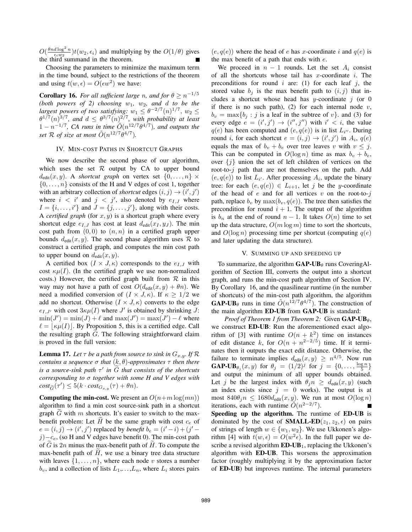$O(\frac{\theta nd \log^2 n}{\epsilon_i w_2}) t(w_2, \epsilon_i)$  and multiplying by the  $O(1/\theta)$  gives the third summand in the theorem.

Choosing the parameters to minimize the maximum term in the time bound, subject to the restrictions of the theorem and using  $t(w, \epsilon) = O(\epsilon w^2)$  we have:

**Corollary 16.** *For all sufficient large n, and for*  $\theta \ge n^{-1/5}$ (both powers of 2) choosing  $w_1$ ,  $w_2$ , and  $d$  to be the *largest powers of two satisfying:*  $w_1 \leq \theta^{-2/7} (n)^{1/7}$ ,  $w_2 \leq$  $\theta^{1/7}(n)^{3/7}$ *, and*  $d \leq \theta^{3/7}(n)^{2/7}$ *, with probability at least*  $1 - n^{-1/7}$ , CA runs in time  $O(n^{12/7} \theta^{4/7})$ *, and outputs the set*  $\mathcal{R}$  *of size at most*  $\tilde{O}(n^{12/7}\theta^{4/7})$ *.* 

# IV. MIN-COST PATHS IN SHORTCUT GRAPHS

We now describe the second phase of our algorithm, which uses the set  $R$  output by CA to upper bound  $d_{edit}(x, y)$ . A *shortcut graph* on vertex set  $\{0, \ldots, n\} \times$  $\{0,\ldots,n\}$  consists of the H and V edges of cost 1, together with an arbitrary collection of *shortcut* edges  $(i, j) \rightarrow (i', j')$ <br>where  $i < i'$  and  $j < i'$  also denoted by  $e_{i, j}$  where where  $i < i'$  and  $j < j'$ , also denoted by  $e_{I,J}$  where  $I = \{i, \ldots, i'\}$  and  $J = \{j, \ldots, j'\}$ , along with their costs.<br>A certified graph (for x, y) is a shortcut graph where every A *certified graph* (for  $x, y$ ) is a shortcut graph where every shortcut edge  $e_{I,J}$  has cost at least  $d_{\text{edit}}(x_I, y_J)$ . The min cost path from  $(0, 0)$  to  $(n, n)$  in a certified graph upper bounds  $d_{\text{edit}}(x, y)$ . The second phase algorithm uses  $\mathcal{R}$  to construct a certified graph, and computes the min cost path to upper bound on  $d_{\text{edit}}(x, y)$ .

A certified box  $(I \times J, \kappa)$  corresponds to the  $e_{I,J}$  with cost  $\kappa\mu(I)$ . (In the certified graph we use non-normalized costs.) However, the certified graph built from  $R$  in this way may not have a path of cost  $O(d_{edit}(x, y) + \theta n)$ . We need a modified conversion of  $(I \times J, \kappa)$ . If  $\kappa \geq 1/2$  we add no shortcut. Otherwise  $(I \times J, \kappa)$  converts to the edge  $e_{I,J'}$  with cost  $3\kappa\mu(I)$  where J' is obtained by shrinking J:<br>  $\min(I') = \min(I) + \ell$  and  $\max(I') = \max(I') - \ell$  where  $\min(J') = \min(J) + \ell$  and  $\max(J') = \max(J') - \ell$  where  $\ell = |\kappa u(I)|$ . By Proposition 5, this is a certified edge. Call  $\ell = |\kappa \mu(I)|$ . By Proposition 5, this is a certified edge. Call the resulting graph  $\tilde{G}$ . The following straightforward claim is proved in the full version:

**Lemma 17.** Let  $\tau$  be a path from source to sink in  $G_{x,y}$ . If  $\mathcal{R}$ *contains a sequence* <sup>σ</sup> *that* (k, θ)*-approximates* <sup>τ</sup> *then there is a source-sink path*  $\tau'$  *in*  $\widetilde{G}$  *that consists of the shortcuts corresponding to* σ *together with some H and V edges with contains a sequence*  $\sigma$  *that*  $(\kappa, \theta)$ -*app*<br>*is a source-sink path*  $\tau'$  *in*  $\tilde{G}$  *that co*<br>*corresponding to*  $\sigma$  *together with sor*<br> $cost_{\tilde{G}}(\tau') \leq 5(k \cdot cost_{G_{x,y}}(\tau) + \theta n)$ .

**Computing the min-cost.** We present an  $O(n+m \log(mn))$ algorithm to find a min cost source-sink path in a shortcut graph  $\tilde{G}$  with m shortcuts. It's easier to switch to the maxbenefit problem: Let  $\widetilde{H}$  be the same graph with cost  $c_e$  of  $e = (i, j) \rightarrow (i', j')$  replaced by *benefit*  $b_e = (i'-i) + (j'-i)$ <br>  $\rightarrow$  (so H and V edges have benefit 0). The min-cost path  $j$ )−c<sub>e</sub>, (so H and V edges have benefit 0). The min-cost path of  $\widetilde{G}$  is 2n minus the max-benefit path of  $\widetilde{H}$ . To compute the max-benefit path of  $\widetilde{H}$ , we use a binary tree data structure max-benefit path of  $\widetilde{H}$ , we use a binary tree data structure with leaves  $\{1,\ldots,n\}$ , where each node v stores a number  $b_v$ , and a collection of lists  $L_1, \ldots, L_n$ , where  $L_i$  stores pairs  $(e, q(e))$  where the head of e has x-coordinate i and  $q(e)$  is the max benefit of a path that ends with  $e$ .

We proceed in  $n - 1$  rounds. Let the set  $A_i$  consist of all the shortcuts whose tail has  $x$ -coordinate  $i$ . The preconditions for round  $i$  are: (1) for each leaf  $j$ , the stored value  $b_j$  is the max benefit path to  $(i, j)$  that includes a shortcut whose head has y-coordinate  $j$  (or 0 if there is no such path), (2) for each internal node  $v$ ,  $b_v = \max\{b_i : j$  is a leaf in the subtree of v, and (3) for every edge  $e = (i', j') \rightarrow (i'', j'')$  with  $i' < i$ , the value  $g(e)$  has been computed and  $(e, g(e))$  is in list  $L_{ij}$ . During  $q(e)$  has been computed and  $(e, q(e))$  is in list  $L_{i}v$ . During<br>round *i* for each shortcut  $e = (i, i) \rightarrow (i', i')$  in  $A \cdot q(e)$ round i, for each shortcut  $e = (i, j) \rightarrow (i', j')$  in  $A_i, q(e)$ <br>equals the may of  $h + h$  over tree leaves in with  $j \leq i$ equals the max of  $b_v + b_e$  over tree leaves v with  $v \leq j$ . This can be computed in  $O(\log n)$  time as max  $b_v + b_e$ , over  $\{j\}$  union the set of left children of vertices on the root-to- $j$  path that are not themselves on the path. Add  $(e, q(e))$  to list  $L_{i'}$ . After processing  $A_i$ , update the binary<br>tree: for each  $(e, q(e)) \in L_{i'}$ , let i be the ucoordinate tree: for each  $(e, q(e)) \in L_{i+1}$ , let j be the y-coordinate of the head of  $e$  and for all vertices  $v$  on the root-to- $i$ path, replace  $b_v$  by  $\max(b_v, q(e))$ . The tree then satisfies the precondition for round  $i + 1$ . The output of the algorithm is  $b_n$  at the end of round  $n-1$ . It takes  $O(n)$  time to set up the data structure,  $O(m \log m)$  time to sort the shortcuts, and  $O(\log n)$  processing time per shortcut (computing  $q(e)$ and later updating the data structure).

## V. SUMMING UP AND SPEEDING UP

To summarize, the algorithm  $GAP-UB_{\theta}$  runs CoveringAlgorithm of Section III, converts the output into a shortcut graph, and runs the min-cost path algorithm of Section IV. By Corollary 16, and the quasilinear runtime (in the number of shortcuts) of the min-cost path algorithm, the algorithm **GAP-UB** $_{\theta}$  runs in time  $\tilde{O}(n^{12/7}\theta^{4/7})$ . The construction of the main algorithm ED-UB from GAP-UB is standard:

*Proof of Theorem 1 from Theorem 2:* Given  $GAP-UB_{\theta}$ , we construct ED-UB: Run the aforementioned exact algorithm of [3] with runtime  $O(n + k^2)$  time on instances of edit distance k, for  $O(n + n^{2-2/5})$  time. If it terminates then it outputs the exact edit distance. Otherwise, the failure to terminate implies  $d_{\text{edit}}(x, y) \geq n^{4/5}$ . Now run  $\mathbf{GAP\text{-}UB}_{\theta_j}(x, y)$  for  $\theta_j = (1/2)^j$  for  $j = \{0, \ldots, \frac{\log n}{5}\}$ <br>and output the minimum of all upper bounds obtained and output the minimum of all upper bounds obtained. Let j be the largest index with  $\theta_j n \geq d_{\text{edit}}(x, y)$  (such an index exists since  $j = 0$  works). The output is at most  $840\theta_j n \le 1680d_{\text{edit}}(x, y)$ . We run at most  $O(\log n)$ iterations, each with runtime  $\tilde{O}(n^{2-2/7})$ .

Speeding up the algorithm. The runtime of ED-UB is dominated by the cost of **SMALL-ED** $(z_1, z_2, \epsilon)$  on pairs of strings of length  $w \in \{w_1, w_2\}$ . We use Ukkonen's algorithm [4] with  $t(w, \epsilon) = O(w^2 \epsilon)$ . In the full paper we describe a revised algorithm  $ED-UB_1$ , replacing the Ukkonen's algorithm with ED-UB. This worsens the approximation factor (roughly multiplying it by the approximation factor of ED-UB) but improves runtime. The internal parameters